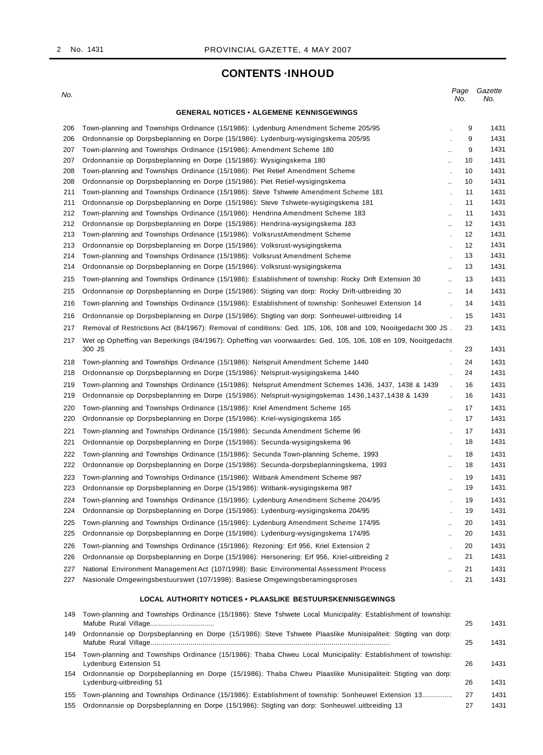No. 1431

## **CONTENTS ·INHOUD**

| No.        |                                                                                                                                                                         | Page<br>No.                      | Gazette<br>No. |
|------------|-------------------------------------------------------------------------------------------------------------------------------------------------------------------------|----------------------------------|----------------|
|            | <b>GENERAL NOTICES • ALGEMENE KENNISGEWINGS</b>                                                                                                                         |                                  |                |
| 206        | Town-planning and Townships Ordinance (15/1986): Lydenburg Amendment Scheme 205/95                                                                                      | 9                                | 1431           |
| 206        | Ordonnansie op Dorpsbeplanning en Dorpe (15/1986): Lydenburg-wysigingskema 205/95                                                                                       | 9                                | 1431           |
| 207        | Town-planning and Townships Ordinance (15/1986): Amendment Scheme 180                                                                                                   | 9<br>$\mathcal{L}_{\mathcal{A}}$ | 1431           |
| 207        | Ordonnansie op Dorpsbeplanning en Dorpe (15/1986): Wysigingskema 180                                                                                                    | 10<br>$\bar{\mathbf{r}}$         | 1431           |
| 208        | Town-planning and Townships Ordinance (15/1986): Piet Retief Amendment Scheme                                                                                           | 10                               | 1431           |
| 208        | Ordonnansie op Dorpsbeplanning en Dorpe (15/1986): Piet Retief-wysigingskema                                                                                            | 10<br>Ω.                         | 1431           |
| 211        | Town-planning and Townships Ordinance (15/1986): Steve Tshwete Amendment Scheme 181                                                                                     | 11<br>÷,                         | 1431           |
| 211        | Ordonnansie op Dorpsbeplanning en Dorpe (15/1986): Steve Tshwete-wysigingskema 181                                                                                      | 11<br>11                         | 1431<br>1431   |
| 212<br>212 | Town-planning and Townships Ordinance (15/1986): Hendrina Amendment Scheme 183<br>Ordonnansie op Dorpsbeplanning en Dorpe (15/1986): Hendrina-wysigingskema 183         | 12                               | 1431           |
| 213        | Town-planning and Townships Ordinance (15/1986): VolksrustAmendment Scheme                                                                                              | Ω.<br>12<br>÷,                   | 1431           |
| 213        | Ordonnansie op Dorpsbeplanning en Dorpe (15/1986): Volksrust-wysigingskema                                                                                              | 12<br>$\blacksquare$             | 1431           |
| 214        | Town-planning and Townships Ordinance (15/1986): Volksrust Amendment Scheme                                                                                             | 13<br>$\cdot$                    | 1431           |
| 214        | Ordonnansie op Dorpsbeplanning en Dorpe (15/1986): Volksrust-wysigingskema                                                                                              | 13<br>$\ddotsc$                  | 1431           |
| 215        | Town-planning and Townships Ordinance (15/1986): Establishment of township: Rocky Drift Extension 30                                                                    | 13<br>$\mathbf{r}$               | 1431           |
| 215        | Ordonnansie op Dorpsbeplanning en Dorpe (15/1986): Stigting van dorp: Rocky Drift-uitbreiding 30                                                                        | 14<br>$\ddot{\phantom{a}}$       | 1431           |
|            |                                                                                                                                                                         | 14                               | 1431           |
| 216        | Town-planning and Townships Ordinance (15/1986): Establishment of township: Sonheuwel Extension 14                                                                      |                                  |                |
| 216        | Ordonnansie op Dorpsbeplanning en Dorpe (15/1986): Stigting van dorp: Sonheuwel-uitbreiding 14                                                                          | 15                               | 1431           |
| 217        | Removal of Restrictions Act (84/1967): Removal of conditions: Ged. 105, 106, 108 and 109, Nooitgedacht 300 JS.                                                          | 23                               | 1431           |
| 217        | Wet op Opheffing van Beperkings (84/1967): Opheffing van voorwaardes: Ged. 105, 106, 108 en 109, Nooitgedacht<br>300 JS                                                 | 23                               | 1431           |
| 218        | Town-planning and Townships Ordinance (15/1986): Nelspruit Amendment Scheme 1440                                                                                        | 24<br>$\ddot{\phantom{a}}$       | 1431           |
| 218        | Ordonnansie op Dorpsbeplanning en Dorpe (15/1986): Nelspruit-wysigingskema 1440                                                                                         | 24                               | 1431           |
| 219        | Town-planning and Townships Ordinance (15/1986): Nelspruit Amendment Schemes 1436, 1437, 1438 & 1439                                                                    | 16                               | 1431           |
| 219        | Ordonnansie op Dorpsbeplanning en Dorpe (15/1986): Nelspruit-wysigingskemas 1436,1437,1438 & 1439                                                                       | 16                               | 1431           |
| 220        | Town-planning and Townships Ordinance (15/1986): Kriel Amendment Scheme 165                                                                                             | 17<br>Ω.                         | 1431           |
| 220        | Ordonnansie op Dorpsbeplanning en Dorpe (15/1986): Kriel-wysigingskema 165                                                                                              | 17<br>÷                          | 1431           |
| 221        | Town-planning and Townships Ordinance (15/1986): Secunda Amendment Scheme 96                                                                                            | 17                               | 1431           |
| 221        | Ordonnansie op Dorpsbeplanning en Dorpe (15/1986): Secunda-wysigingskema 96                                                                                             | 18<br>$\overline{\phantom{a}}$   | 1431           |
| 222        | Town-planning and Townships Ordinance (15/1986): Secunda Town-planning Scheme, 1993                                                                                     | 18                               | 1431           |
| 222        | Ordonnansie op Dorpsbeplanning en Dorpe (15/1986): Secunda-dorpsbeplanningskema, 1993                                                                                   | à.<br>18<br>$\sim$               | 1431           |
| 223        | Town-planning and Townships Ordinance (15/1986): Witbank Amendment Scheme 987                                                                                           | 19                               | 1431           |
| 223        | Ordonnansie op Dorpsbeplanning en Dorpe (15/1986): Witbank-wysigingskema 987                                                                                            | $\ddot{\phantom{a}}$<br>19       | 1431           |
|            |                                                                                                                                                                         |                                  |                |
| 224<br>224 | Town-planning and Townships Ordinance (15/1986): Lydenburg Amendment Scheme 204/95<br>Ordonnansie op Dorpsbeplanning en Dorpe (15/1986): Lydenburg-wysigingskema 204/95 | 19<br>19                         | 1431<br>1431   |
|            | Town-planning and Townships Ordinance (15/1986): Lydenburg Amendment Scheme 174/95                                                                                      |                                  |                |
| 225<br>225 | Ordonnansie op Dorpsbeplanning en Dorpe (15/1986): Lydenburg-wysigingskema 174/95                                                                                       | 20<br>20                         | 1431<br>1431   |
|            |                                                                                                                                                                         | $\ddot{\phantom{a}}$             |                |
| 226        | Town-planning and Townships Ordinance (15/1986): Rezoning: Erf 956, Kriel Extension 2                                                                                   | 20<br>$\cdot$                    | 1431           |
| 226        | Ordonnansie op Dorpsbeplanning en Dorpe (15/1986): Hersonering: Erf 956, Kriel-uitbreiding 2                                                                            | 21<br>$\ddot{\phantom{a}}$       | 1431           |
| 227        | National Environment Management Act (107/1998): Basic Environmental Assessment Process                                                                                  | 21<br>$\ddot{\phantom{a}}$       | 1431           |
| 227        | Nasionale Omgewingsbestuurswet (107/1998): Basiese Omgewingsberamingsproses                                                                                             | 21                               | 1431           |
|            | <b>LOCAL AUTHORITY NOTICES • PLAASLIKE BESTUURSKENNISGEWINGS</b>                                                                                                        |                                  |                |
| 149        | Town-planning and Townships Ordinance (15/1986): Steve Tshwete Local Municipality: Establishment of township:                                                           | 25                               | 1431           |
| 149        | Ordonnansie op Dorpsbeplanning en Dorpe (15/1986): Steve Tshwete Plaaslike Munisipaliteit: Stigting van dorp:                                                           |                                  |                |
|            |                                                                                                                                                                         | 25                               | 1431           |
| 154        | Town-planning and Townships Ordinance (15/1986): Thaba Chweu Local Municipality: Establishment of township:<br>Lydenburg Extension 51                                   | 26                               | 1431           |
| 154        | Ordonnansie op Dorpsbeplanning en Dorpe (15/1986): Thaba Chweu Plaaslike Munisipaliteit: Stigting van dorp:                                                             |                                  |                |
|            | Lydenburg-uitbreiding 51                                                                                                                                                | 26                               | 1431           |
| 155        | Town-planning and Townships Ordinance (15/1986): Establishment of township: Sonheuwel Extension 13                                                                      | 27                               | 1431           |
| 155        | Ordonnansie op Dorpsbeplanning en Dorpe (15/1986): Stigting van dorp: Sonheuwel uitbreiding 13                                                                          | 27                               | 1431           |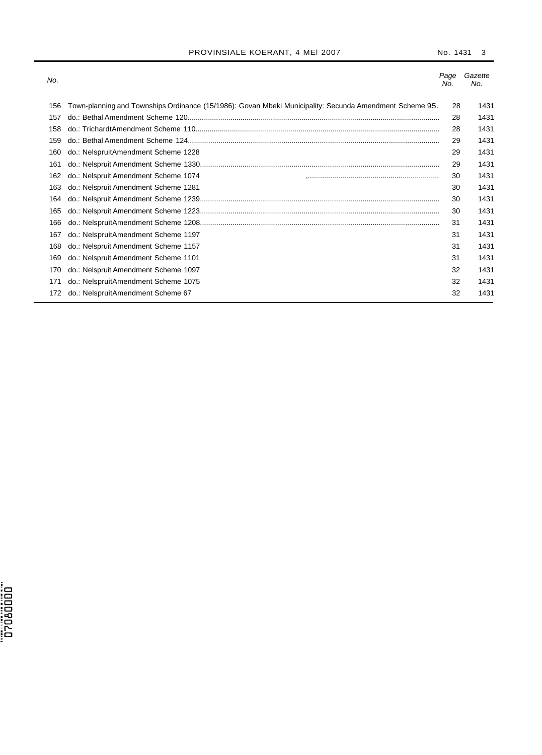## PROVINSIALE KOERANT, 4 MEI 2007 No. 1431 3

| No. |                                                                                                         | Page<br>No. | Gazette<br>No. |
|-----|---------------------------------------------------------------------------------------------------------|-------------|----------------|
| 156 | Town-planning and Townships Ordinance (15/1986): Govan Mbeki Municipality: Secunda Amendment Scheme 95. | 28          | 1431           |
| 157 |                                                                                                         | 28          | 1431           |
| 158 |                                                                                                         | 28          | 1431           |
| 159 |                                                                                                         | 29          | 1431           |
| 160 | do.: NelspruitAmendment Scheme 1228                                                                     | 29          | 1431           |
| 161 |                                                                                                         | 29          | 1431           |
| 162 | do.: Nelspruit Amendment Scheme 1074                                                                    | 30          | 1431           |
| 163 | do.: Nelspruit Amendment Scheme 1281                                                                    | 30          | 1431           |
| 164 |                                                                                                         | 30          | 1431           |
| 165 |                                                                                                         | 30          | 1431           |
| 166 |                                                                                                         | 31          | 1431           |
| 167 | do.: NelspruitAmendment Scheme 1197                                                                     | 31          | 1431           |
| 168 | do.: Nelspruit Amendment Scheme 1157                                                                    | 31          | 1431           |
| 169 | do.: Nelspruit Amendment Scheme 1101                                                                    | 31          | 1431           |
| 170 | do.: Nelspruit Amendment Scheme 1097                                                                    | 32          | 1431           |
| 171 | do.: NelspruitAmendment Scheme 1075                                                                     | 32          | 1431           |
| 172 | do.: NelspruitAmendment Scheme 67                                                                       | 32          | 1431           |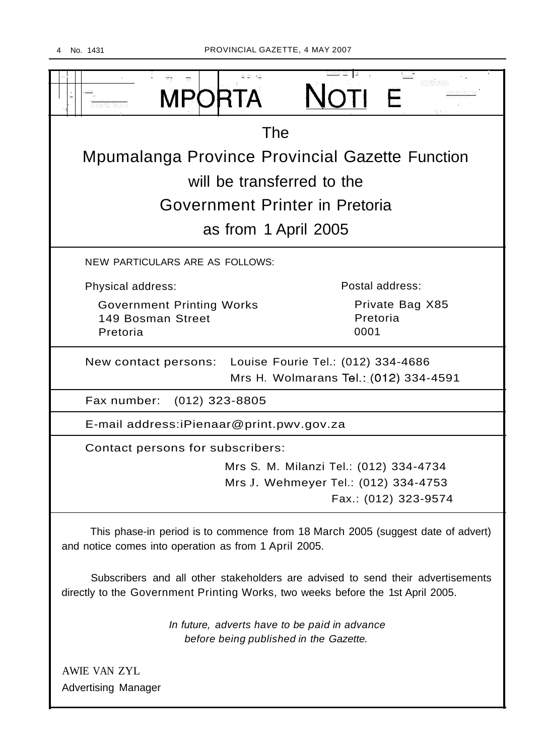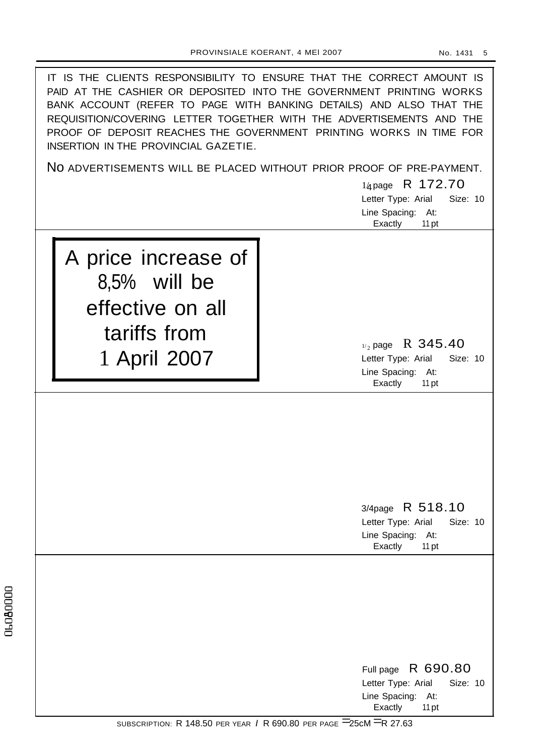| IT IS THE CLIENTS RESPONSIBILITY TO ENSURE THAT THE CORRECT AMOUNT IS<br>PAID AT THE CASHIER OR DEPOSITED INTO THE GOVERNMENT PRINTING WORKS<br>BANK ACCOUNT (REFER TO PAGE WITH BANKING DETAILS) AND ALSO THAT THE<br>REQUISITION/COVERING LETTER TOGETHER WITH THE ADVERTISEMENTS AND THE<br>PROOF OF DEPOSIT REACHES THE GOVERNMENT PRINTING WORKS IN TIME FOR<br>INSERTION IN THE PROVINCIAL GAZETIE. |                                                                                                                   |  |
|-----------------------------------------------------------------------------------------------------------------------------------------------------------------------------------------------------------------------------------------------------------------------------------------------------------------------------------------------------------------------------------------------------------|-------------------------------------------------------------------------------------------------------------------|--|
|                                                                                                                                                                                                                                                                                                                                                                                                           | NO ADVERTISEMENTS WILL BE PLACED WITHOUT PRIOR PROOF OF PRE-PAYMENT.                                              |  |
|                                                                                                                                                                                                                                                                                                                                                                                                           | 14 page R 172.70<br>Size: 10                                                                                      |  |
|                                                                                                                                                                                                                                                                                                                                                                                                           | Letter Type: Arial<br>Line Spacing:<br>At:                                                                        |  |
|                                                                                                                                                                                                                                                                                                                                                                                                           | Exactly<br>11 pt                                                                                                  |  |
| A price increase of<br>8,5% will be<br>effective on all<br>tariffs from<br>1 April 2007                                                                                                                                                                                                                                                                                                                   | $v_2$ page R 345.40<br>Letter Type: Arial<br>Size: 10<br>Line Spacing: At:<br>Exactly<br>11 pt                    |  |
|                                                                                                                                                                                                                                                                                                                                                                                                           | 3/4page R 518.10<br>Letter Type: Arial<br>Size: 10<br>Line Spacing: At:                                           |  |
|                                                                                                                                                                                                                                                                                                                                                                                                           | Exactly<br>11 pt<br>Full page R 690.80<br>Letter Type: Arial<br>Size: 10<br>Line Spacing: At:<br>Exactly<br>11 pt |  |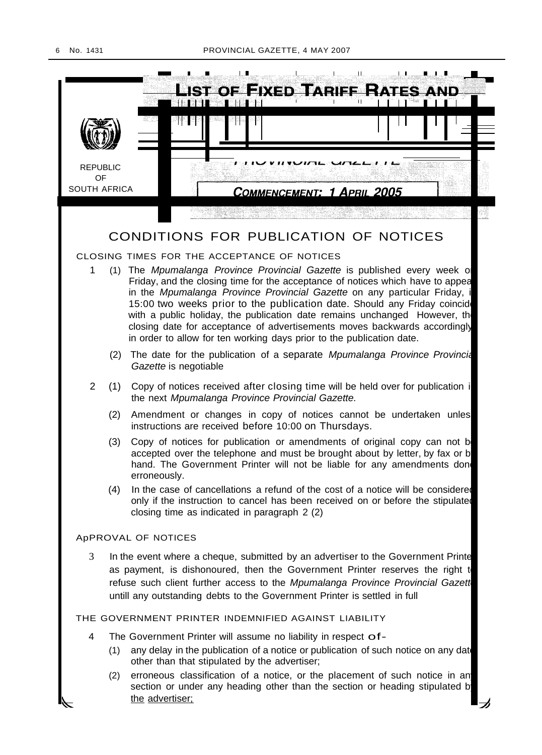

the advertiser;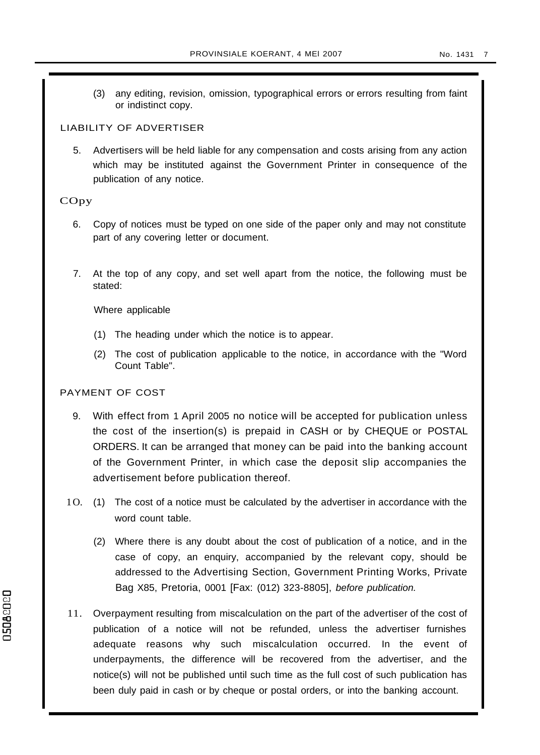(3) any editing, revision, omission, typographical errors or errors resulting from faint or indistinct copy.

## LIABILITY OF ADVERTISER

5. Advertisers will be held liable for any compensation and costs arising from any action which may be instituted against the Government Printer in consequence of the publication of any notice.

## COpy

- 6. Copy of notices must be typed on one side of the paper only and may not constitute part of any covering letter or document.
- 7. At the top of any copy, and set well apart from the notice, the following must be stated:

Where applicable

- (1) The heading under which the notice is to appear.
- (2) The cost of publication applicable to the notice, in accordance with the "Word Count Table".

## PAYMENT OF COST

- 9. With effect from 1 April 2005 no notice will be accepted for publication unless the cost of the insertion(s) is prepaid in CASH or by CHEQUE or POSTAL ORDERS. It can be arranged that money can be paid into the banking account of the Government Printer, in which case the deposit slip accompanies the advertisement before publication thereof.
- 1 O. (1) The cost of a notice must be calculated by the advertiser in accordance with the word count table.
	- (2) Where there is any doubt about the cost of publication of a notice, and in the case of copy, an enquiry, accompanied by the relevant copy, should be addressed to the Advertising Section, Government Printing Works, Private Bag X85, Pretoria, 0001 [Fax: (012) 323-8805], before publication.
- 11. Overpayment resulting from miscalculation on the part of the advertiser of the cost of publication of a notice will not be refunded, unless the advertiser furnishes adequate reasons why such miscalculation occurred. In the event of underpayments, the difference will be recovered from the advertiser, and the notice(s) will not be published until such time as the full cost of such publication has been duly paid in cash or by cheque or postal orders, or into the banking account.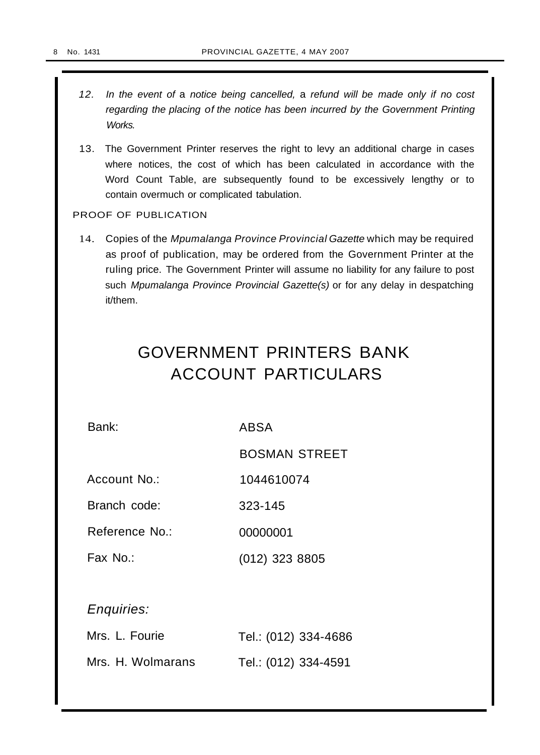- 12. In the event of a notice being cancelled, a refund will be made only if no cost regarding the placing of the notice has been incurred by the Government Printing Works.
- 13. The Government Printer reserves the right to levy an additional charge in cases where notices, the cost of which has been calculated in accordance with the Word Count Table, are subsequently found to be excessively lengthy or to contain overmuch or complicated tabulation.

## PROOF OF PUBLICATION

14. Copies of the Mpumalanga Province Provincial Gazette which may be required as proof of publication, may be ordered from the Government Printer at the ruling price. The Government Printer will assume no liability for any failure to post such Mpumalanga Province Provincial Gazette(s) or for any delay in despatching it/them.

# GOVERNMENT PRINTERS BANK ACCOUNT PARTICULARS

Bank: ABSA

BOSMAN STREET

Account No.: 1044610074

Branch code: 323-145

Reference No.: 00000001

Fax No.: (012) 323 8805

## Enquiries:

| Mrs. L. Fourie    | Tel.: (012) 334-4686 |
|-------------------|----------------------|
| Mrs. H. Wolmarans | Tel.: (012) 334-4591 |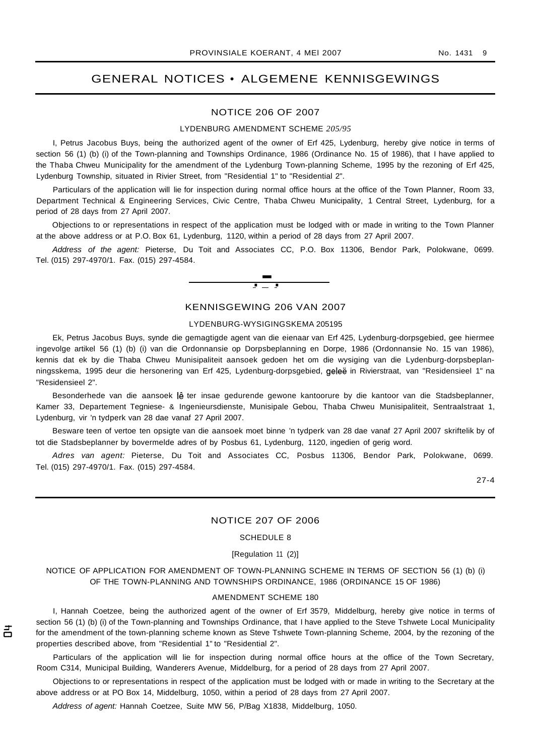## GENERAL NOTICES • ALGEMENE KENNISGEWINGS

#### NOTICE 206 OF 2007

#### LYDENBURG AMENDMENT SCHEME *205/95*

I, Petrus Jacobus Buys, being the authorized agent of the owner of Erf 425, Lydenburg, hereby give notice in terms of section 56 (1) (b) (i) of the Town-planning and Townships Ordinance, 1986 (Ordinance No. 15 of 1986), that I have applied to the Thaba Chweu Municipality for the amendment of the Lydenburg Town-planning Scheme, 1995 by the rezoning of Erf 425, Lydenburg Township, situated in Rivier Street, from "Residential 1" to "Residential 2".

Particulars of the application will lie for inspection during normal office hours at the office of the Town Planner, Room 33, Department Technical & Engineering Services, Civic Centre, Thaba Chweu Municipality, 1 Central Street, Lydenburg, for a period of 28 days from 27 April 2007.

Objections to or representations in respect of the application must be lodged with or made in writing to the Town Planner at the above address or at P.O. Box 61, Lydenburg, 1120, within a period of 28 days from 27 April 2007.

Address of the agent: Pieterse, Du Toit and Associates CC, P.O. Box 11306, Bendor Park, Polokwane, 0699. Tel. (015) 297-4970/1. Fax. (015) 297-4584.



#### KENNISGEWING 206 VAN 2007

#### LYDENBURG-WYSIGINGSKEMA 205195

Ek, Petrus Jacobus Buys, synde die gemagtigde agent van die eienaar van Erf 425, Lydenburg-dorpsgebied, gee hiermee ingevolge artikel 56 (1) (b) (i) van die Ordonnansie op Dorpsbeplanning en Dorpe, 1986 (Ordonnansie No. 15 van 1986), kennis dat ek by die Thaba Chweu Munisipaliteit aansoek gedoen het om die wysiging van die Lydenburg-dorpsbeplanningsskema, 1995 deur die hersonering van Erf 425, Lydenburg-dorpsgebied, geleë in Rivierstraat, van "Residensieel 1" na "Residensieel 2".

Besonderhede van die aansoek lê ter insae gedurende gewone kantoorure by die kantoor van die Stadsbeplanner, Kamer 33, Departement Tegniese- & Ingenieursdienste, Munisipale Gebou, Thaba Chweu Munisipaliteit, Sentraalstraat 1, Lydenburg, vir 'n tydperk van 28 dae vanaf 27 April 2007.

Besware teen of vertoe ten opsigte van die aansoek moet binne 'n tydperk van 28 dae vanaf 27 April 2007 skriftelik by of tot die Stadsbeplanner by bovermelde adres of by Posbus 61, Lydenburg, 1120, ingedien of gerig word.

Adres van agent: Pieterse, Du Toit and Associates CC, Posbus 11306, Bendor Park, Polokwane, 0699. Tel. (015) 297-4970/1. Fax. (015) 297-4584.

27-4

#### NOTICE 207 OF 2006

#### SCHEDULE 8

[Regulation 11 (2)]

NOTICE OF APPLICATION FOR AMENDMENT OF TOWN-PLANNING SCHEME IN TERMS OF SECTION 56 (1) (b) (i) OF THE TOWN-PLANNING AND TOWNSHIPS ORDINANCE, 1986 (ORDINANCE 15 OF 1986)

#### AMENDMENT SCHEME 180

I, Hannah Coetzee, being the authorized agent of the owner of Erf 3579, Middelburg, hereby give notice in terms of section 56 (1) (b) (i) of the Town-planning and Townships Ordinance, that I have applied to the Steve Tshwete Local Municipality for the amendment of the town-planning scheme known as Steve Tshwete Town-planning Scheme, 2004, by the rezoning of the properties described above, from "Residential 1" to "Residential 2".

Particulars of the application will lie for inspection during normal office hours at the office of the Town Secretary, Room C314, Municipal Building, Wanderers Avenue, Middelburg, for a period of 28 days from 27 April 2007.

Objections to or representations in respect of the application must be lodged with or made in writing to the Secretary at the above address or at PO Box 14, Middelburg, 1050, within a period of 28 days from 27 April 2007.

Address of agent: Hannah Coetzee, Suite MW 56, P/Bag X1838, Middelburg, 1050.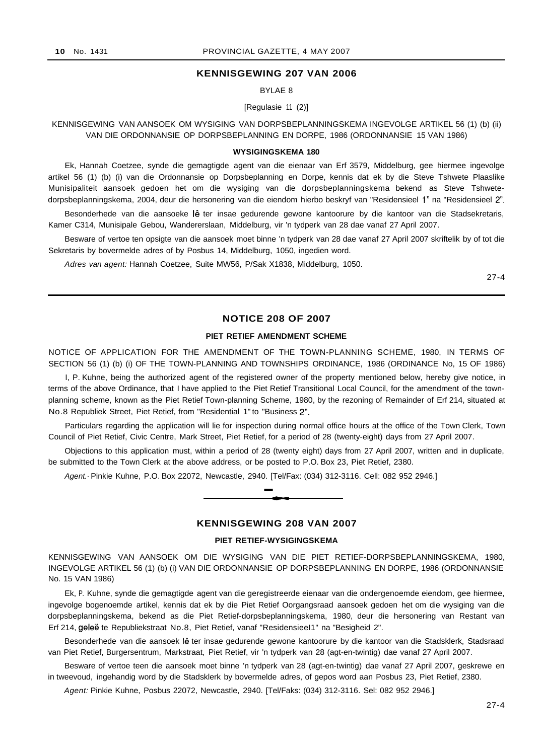#### **KENNISGEWING 207 VAN 2006**

BYLAE 8

[Regulasie 11 (2)]

KENNISGEWING VAN AANSOEK OM WYSIGING VAN DORPSBEPLANNINGSKEMA INGEVOLGE ARTIKEL 56 (1) (b) (ii) VAN DIE ORDONNANSIE OP DORPSBEPLANNING EN DORPE, 1986 (ORDONNANSIE 15 VAN 1986)

#### **WYSIGINGSKEMA 180**

Ek, Hannah Coetzee, synde die gemagtigde agent van die eienaar van Erf 3579, Middelburg, gee hiermee ingevolge artikel 56 (1) (b) (i) van die Ordonnansie op Dorpsbeplanning en Dorpe, kennis dat ek by die Steve Tshwete Plaaslike Munisipaliteit aansoek gedoen het om die wysiging van die dorpsbeplanningskema bekend as Steve Tshwetedorpsbeplanningskema, 2004, deur die hersonering van die eiendom hierbo beskryf van "Residensieel 1" na "Residensieel 2".

Besonderhede van die aansoeke lê ter insae gedurende gewone kantoorure by die kantoor van die Stadsekretaris, Kamer C314, Munisipale Gebou, Wandererslaan, Middelburg, vir 'n tydperk van 28 dae vanaf 27 April 2007.

Besware of vertoe ten opsigte van die aansoek moet binne 'n tydperk van 28 dae vanaf 27 April 2007 skriftelik by of tot die Sekretaris by bovermelde adres of by Posbus 14, Middelburg, 1050, ingedien word.

Adres van agent: Hannah Coetzee, Suite MW56, P/Sak X1838, Middelburg, 1050.

27-4

## **NOTICE 208 OF 2007**

#### **PIET RETIEF AMENDMENT SCHEME**

NOTICE OF APPLICATION FOR THE AMENDMENT OF THE TOWN-PLANNING SCHEME, 1980, IN TERMS OF SECTION 56 (1) (b) (i) OF THE TOWN-PLANNING AND TOWNSHIPS ORDINANCE, 1986 (ORDINANCE No, 15 OF 1986)

I, P. Kuhne, being the authorized agent of the registered owner of the property mentioned below, hereby give notice, in terms of the above Ordinance, that I have applied to the Piet Retief Transitional Local Council, for the amendment of the townplanning scheme, known as the Piet Retief Town-planning Scheme, 1980, by the rezoning of Remainder of Erf 214, situated at No.8 Republiek Street, Piet Retief, from "Residential 1" to "Business 2".

Particulars regarding the application will lie for inspection during normal office hours at the office of the Town Clerk, Town Council of Piet Retief, Civic Centre, Mark Street, Piet Retief, for a period of 28 (twenty-eight) days from 27 April 2007.

Objections to this application must, within a period of 28 (twenty eight) days from 27 April 2007, written and in duplicate, be submitted to the Town Clerk at the above address, or be posted to P.O. Box 23, Piet Retief, 2380.

Agent.· Pinkie Kuhne, P.O. Box 22072, Newcastle, 2940. [Tel/Fax: (034) 312-3116. Cell: 082 952 2946.] -**\_.**



#### **KENNISGEWING 208 VAN 2007**

#### **PIET RETIEF-WYSIGINGSKEMA**

KENNISGEWING VAN AANSOEK OM DIE WYSIGING VAN DIE PIET RETIEF-DORPSBEPLANNINGSKEMA, 1980, INGEVOLGE ARTIKEL 56 (1) (b) (i) VAN DIE ORDONNANSIE OP DORPSBEPLANNING EN DORPE, 1986 (ORDONNANSIE No. 15 VAN 1986)

Ek, P. Kuhne, synde die gemagtigde agent van die geregistreerde eienaar van die ondergenoemde eiendom, gee hiermee, ingevolge bogenoemde artikel, kennis dat ek by die Piet Retief Oorgangsraad aansoek gedoen het om die wysiging van die dorpsbeplanningskema, bekend as die Piet Retief-dorpsbeplanningskema, 1980, deur die hersonering van Restant van Erf 214, geleë te Republiekstraat No.8, Piet Retief, vanaf "ResidensieeI1" na "Besigheid 2".

Besonderhede van die aansoek lê ter insae gedurende gewone kantoorure by die kantoor van die Stadsklerk, Stadsraad van Piet Retief, Burgersentrum, Markstraat, Piet Retief, vir 'n tydperk van 28 (agt-en-twintig) dae vanaf 27 April 2007.

Besware of vertoe teen die aansoek moet binne 'n tydperk van 28 (agt-en-twintig) dae vanaf 27 April 2007, geskrewe en in tweevoud, ingehandig word by die Stadsklerk by bovermelde adres, of gepos word aan Posbus 23, Piet Retief, 2380.

Agent: Pinkie Kuhne, Posbus 22072, Newcastle, 2940. [Tel/Faks: (034) 312-3116. Sel: 082 952 2946.]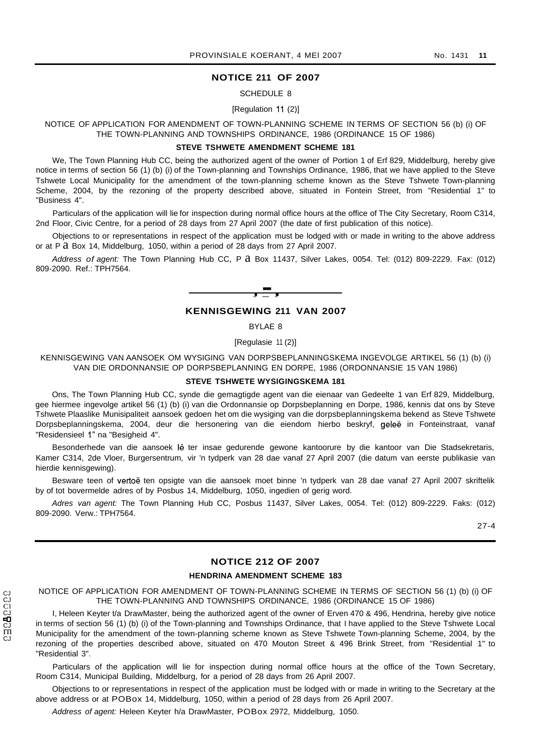#### **NOTICE 211 OF 2007**

#### SCHEDULE 8

#### [Regulation 11 (2)]

NOTICE OF APPLICATION FOR AMENDMENT OF TOWN-PLANNING SCHEME IN TERMS OF SECTION 56 (b) (i) OF THE TOWN-PLANNING AND TOWNSHIPS ORDINANCE, 1986 (ORDINANCE 15 OF 1986)

## **STEVE TSHWETE AMENDMENT SCHEME 181**

We, The Town Planning Hub CC, being the authorized agent of the owner of Portion 1 of Erf 829, Middelburg, hereby give notice in terms of section 56 (1) (b) (i) of the Town-planning and Townships Ordinance, 1986, that we have applied to the Steve Tshwete Local Municipality for the amendment of the town-planning scheme known as the Steve Tshwete Town-planning Scheme, 2004, by the rezoning of the property described above, situated in Fontein Street, from "Residential 1" to "Business 4".

Particulars of the application will lie for inspection during normal office hours at the office of The City Secretary, Room C314, 2nd Floor, Civic Centre, for a period of 28 days from 27 April 2007 (the date of first publication of this notice).

Objections to or representations in respect of the application must be lodged with or made in writing to the above address or at P  $\alpha$  Box 14, Middelburg, 1050, within a period of 28 days from 27 April 2007.

Address of agent: The Town Planning Hub CC, P a Box 11437, Silver Lakes, 0054. Tel: (012) 809-2229. Fax: (012) 809-2090. Ref.: TPH7564.



## **KENNISGEWING 211 VAN 2007**

BYLAE 8

#### [Regulasie 11 (2)]

KENNISGEWING VAN AANSOEK OM WYSIGING VAN DORPSBEPLANNINGSKEMA INGEVOLGE ARTIKEL 56 (1) (b) (i) VAN DIE ORDONNANSIE OP DORPSBEPLANNING EN DORPE, 1986 (ORDONNANSIE 15 VAN 1986)

## **STEVE TSHWETE WYSIGINGSKEMA 181**

Ons, The Town Planning Hub CC, synde die gemagtigde agent van die eienaar van Gedeelte 1 van Erf 829, Middelburg, gee hiermee ingevolge artikel 56 (1) (b) (i) van die Ordonnansie op Dorpsbeplanning en Dorpe, 1986, kennis dat ons by Steve Tshwete Plaaslike Munisipaliteit aansoek gedoen het om die wysiging van die dorpsbeplanningskema bekend as Steve Tshwete Dorpsbeplanningskema, 2004, deur die hersonering van die eiendom hierbo beskryf, gelee in Fonteinstraat, vanaf "Residensieel 1" na "Besigheid 4".

Besonderhede van die aansoek lê ter insae gedurende gewone kantoorure by die kantoor van Die Stadsekretaris, Kamer C314, 2de Vloer, Burgersentrum, vir 'n tydperk van 28 dae vanaf 27 April 2007 (die datum van eerste publikasie van hierdie kennisgewing).

Besware teen of vertoë ten opsigte van die aansoek moet binne 'n tydperk van 28 dae vanaf 27 April 2007 skriftelik by of tot bovermelde adres of by Posbus 14, Middelburg, 1050, ingedien of gerig word.

Adres van agent: The Town Planning Hub CC, Posbus 11437, Silver Lakes, 0054. Tel: (012) 809-2229. Faks: (012) 809-2090. Verw.: TPH7564.

27-4

## **NOTICE 212 OF 2007**

#### **HENDRINA AMENDMENT SCHEME 183**

NOTICE OF APPLICATION FOR AMENDMENT OF TOWN-PLANNING SCHEME IN TERMS OF SECTION 56 (1) (b) (i) OF THE TOWN-PLANNING AND TOWNSHIPS ORDINANCE, 1986 (ORDINANCE 15 OF 1986)

I, Heleen Keyter t/a DrawMaster, being the authorized agent of the owner of Erven 470 & 496, Hendrina, hereby give notice in terms of section 56 (1) (b) (i) of the Town-planning and Townships Ordinance, that I have applied to the Steve Tshwete Local Municipality for the amendment of the town-planning scheme known as Steve Tshwete Town-planning Scheme, 2004, by the rezoning of the properties described above, situated on 470 Mouton Street & 496 Brink Street, from "Residential 1" to "Residential 3".

Particulars of the application will lie for inspection during normal office hours at the office of the Town Secretary, Room C314, Municipal Building, Middelburg, for a period of 28 days from 26 April 2007.

Objections to or representations in respect of the application must be lodged with or made in writing to the Secretary at the above address or at POBox 14, Middelburg, 1050, within a period of 28 days from 26 April 2007.

Address of agent: Heleen Keyter h/a DrawMaster, POBox 2972, Middelburg, 1050.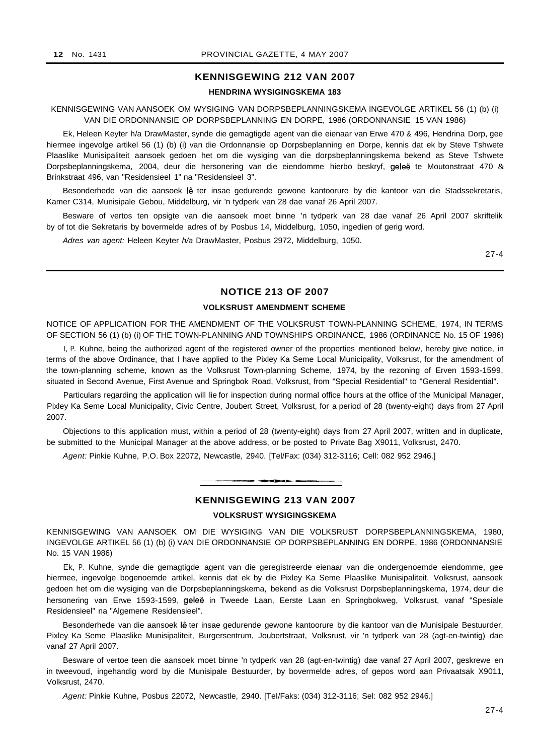## **KENNISGEWING 212 VAN 2007**

### **HENDRINA WYSIGINGSKEMA 183**

KENNISGEWING VAN AANSOEK OM WYSIGING VAN DORPSBEPLANNINGSKEMA INGEVOLGE ARTIKEL 56 (1) (b) (i) VAN DIE ORDONNANSIE OP DORPSBEPLANNING EN DORPE, 1986 (ORDONNANSIE 15 VAN 1986)

Ek, Heleen Keyter h/a DrawMaster, synde die gemagtigde agent van die eienaar van Erwe 470 & 496, Hendrina Dorp, gee hiermee ingevolge artikel 56 (1) (b) (i) van die Ordonnansie op Dorpsbeplanning en Dorpe, kennis dat ek by Steve Tshwete Plaaslike Munisipaliteit aansoek gedoen het om die wysiging van die dorpsbeplanningskema bekend as Steve Tshwete Dorpsbeplanningskema, 2004, deur die hersonering van die eiendomme hierbo beskryf, geleë te Moutonstraat 470 & Brinkstraat 496, van "Residensieel 1" na "Residensieel 3".

Besonderhede van die aansoek lê ter insae gedurende gewone kantoorure by die kantoor van die Stadssekretaris, Kamer C314, Munisipale Gebou, Middelburg, vir 'n tydperk van 28 dae vanaf 26 April 2007.

Besware of vertos ten opsigte van die aansoek moet binne 'n tydperk van 28 dae vanaf 26 April 2007 skriftelik by of tot die Sekretaris by bovermelde adres of by Posbus 14, Middelburg, 1050, ingedien of gerig word.

Adres van agent: Heleen Keyter h/a DrawMaster, Posbus 2972, Middelburg, 1050.

27-4

## **NOTICE 213 OF 2007**

#### **VOLKSRUST AMENDMENT SCHEME**

NOTICE OF APPLICATION FOR THE AMENDMENT OF THE VOLKSRUST TOWN-PLANNING SCHEME, 1974, IN TERMS OF SECTION 56 (1) (b) (i) OF THE TOWN-PLANNING AND TOWNSHIPS ORDINANCE, 1986 (ORDINANCE No. 15 OF 1986)

I, P. Kuhne, being the authorized agent of the registered owner of the properties mentioned below, hereby give notice, in terms of the above Ordinance, that I have applied to the Pixley Ka Seme Local Municipality, Volksrust, for the amendment of the town-planning scheme, known as the Volksrust Town-planning Scheme, 1974, by the rezoning of Erven 1593-1599, situated in Second Avenue, First Avenue and Springbok Road, Volksrust, from "Special Residential" to "General Residential".

Particulars regarding the application will lie for inspection during normal office hours at the office of the Municipal Manager, Pixley Ka Seme Local Municipality, Civic Centre, Joubert Street, Volksrust, for a period of 28 (twenty-eight) days from 27 April 2007.

Objections to this application must, within a period of 28 (twenty-eight) days from 27 April 2007, written and in duplicate, be submitted to the Municipal Manager at the above address, or be posted to Private Bag X9011, Volksrust, 2470.

Agent: Pinkie Kuhne, P.O. Box 22072, Newcastle, 2940. [Tel/Fax: (034) 312-3116; Cell: 082 952 2946.]



## **KENNISGEWING 213 VAN 2007**

#### **VOLKSRUST WYSIGINGSKEMA**

KENNISGEWING VAN AANSOEK OM DIE WYSIGING VAN DIE VOLKSRUST DORPSBEPLANNINGSKEMA, 1980, INGEVOLGE ARTIKEL 56 (1) (b) (i) VAN DIE ORDONNANSIE OP DORPSBEPLANNING EN DORPE, 1986 (ORDONNANSIE No. 15 VAN 1986)

Ek, P. Kuhne, synde die gemagtigde agent van die geregistreerde eienaar van die ondergenoemde eiendomme, gee hiermee, ingevolge bogenoemde artikel, kennis dat ek by die Pixley Ka Seme Plaaslike Munisipaliteit, Volksrust, aansoek gedoen het om die wysiging van die Dorpsbeplanningskema, bekend as die Volksrust Dorpsbeplanningskema, 1974, deur die hersonering van Erwe 1593-1599, geleë in Tweede Laan, Eerste Laan en Springbokweg, Volksrust, vanaf "Spesiale Residensieel" na "Algemene Residensieel".

Besonderhede van die aansoek lê ter insae gedurende gewone kantoorure by die kantoor van die Munisipale Bestuurder, Pixley Ka Seme Plaaslike Munisipaliteit, Burgersentrum, Joubertstraat, Volksrust, vir 'n tydperk van 28 (agt-en-twintig) dae vanaf 27 April 2007.

Besware of vertoe teen die aansoek moet binne 'n tydperk van 28 (agt-en-twintig) dae vanaf 27 April 2007, geskrewe en in tweevoud, ingehandig word by die Munisipale Bestuurder, by bovermelde adres, of gepos word aan Privaatsak X9011, Volksrust, 2470.

Agent: Pinkie Kuhne, Posbus 22072, Newcastle, 2940. [TeI/Faks: (034) 312-3116; Sel: 082 952 2946.]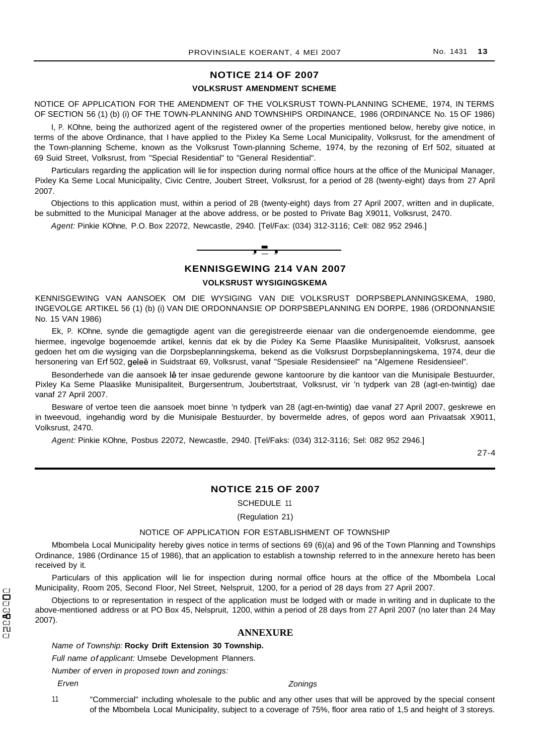## **NOTICE 214 OF 2007**

#### **VOLKSRUST AMENDMENT SCHEME**

NOTICE OF APPLICATION FOR THE AMENDMENT OF THE VOLKSRUST TOWN-PLANNING SCHEME, 1974, IN TERMS OF SECTION 56 (1) (b) (i) OF THE TOWN-PLANNING AND TOWNSHIPS ORDINANCE, 1986 (ORDINANCE No. 15 OF 1986)

I, P. KOhne, being the authorized agent of the registered owner of the properties mentioned below, hereby give notice, in terms of the above Ordinance, that I have applied to the Pixley Ka Seme Local Municipality, Volksrust, for the amendment of the Town-planning Scheme, known as the Volksrust Town-planning Scheme, 1974, by the rezoning of Erf 502, situated at 69 Suid Street, Volksrust, from "Special Residential" to "General Residential".

Particulars regarding the application will lie for inspection during normal office hours at the office of the Municipal Manager, Pixley Ka Seme Local Municipality, Civic Centre, Joubert Street, Volksrust, for a period of 28 (twenty-eight) days from 27 April 2007.

Objections to this application must, within a period of 28 (twenty-eight) days from 27 April 2007, written and in duplicate, be submitted to the Municipal Manager at the above address, or be posted to Private Bag X9011, Volksrust, 2470.

Agent: Pinkie KOhne, P.O. Box 22072, Newcastle, 2940. [Tel/Fax: (034) 312-3116; Cell: 082 952 2946.]



**KENNISGEWING 214 VAN 2007**

**VOLKSRUST WYSIGINGSKEMA**

KENNISGEWING VAN AANSOEK OM DIE WYSIGING VAN DIE VOLKSRUST DORPSBEPLANNINGSKEMA, 1980, INGEVOLGE ARTIKEL 56 (1) (b) (i) VAN DIE ORDONNANSIE OP DORPSBEPLANNING EN DORPE, 1986 (ORDONNANSIE No. 15 VAN 1986)

Ek, P. KOhne, synde die gemagtigde agent van die geregistreerde eienaar van die ondergenoemde eiendomme, gee hiermee, ingevolge bogenoemde artikel, kennis dat ek by die Pixley Ka Seme Plaaslike Munisipaliteit, Volksrust, aansoek gedoen het om die wysiging van die Dorpsbeplanningskema, bekend as die Volksrust Dorpsbeplanningskema, 1974, deur die hersonering van Erf 502, geleë in Suidstraat 69, Volksrust, vanaf "Spesiale Residensieel" na "Algemene Residensieel".

Besonderhede van die aansoek lê ter insae gedurende gewone kantoorure by die kantoor van die Munisipale Bestuurder, Pixley Ka Seme Plaaslike Munisipaliteit, Burgersentrum, Joubertstraat, Volksrust, vir 'n tydperk van 28 (agt-en-twintig) dae vanaf 27 April 2007.

Besware of vertoe teen die aansoek moet binne 'n tydperk van 28 (agt-en-twintig) dae vanaf 27 April 2007, geskrewe en in tweevoud, ingehandig word by die Munisipale Bestuurder, by bovermelde adres, of gepos word aan Privaatsak X9011, Volksrust, 2470.

Agent: Pinkie KOhne, Posbus 22072, Newcastle, 2940. [Tel/Faks: (034) 312-3116; Sel: 082 952 2946.]

27-4

## **NOTICE 215 OF 2007**

SCHEDULE 11

(Regulation 21)

#### NOTICE OF APPLICATION FOR ESTABLISHMENT OF TOWNSHIP

Mbombela Local Municipality hereby gives notice in terms of sections 69 (6)(a) and 96 of the Town Planning and Townships Ordinance, 1986 (Ordinance 15 of 1986), that an application to establish a township referred to in the annexure hereto has been received by it.

Particulars of this application will lie for inspection during normal office hours at the office of the Mbombela Local Municipality, Room 205, Second Floor, Nel Street, Nelspruit, 1200, for a period of 28 days from 27 April 2007.

Objections to or representation in respect of the application must be lodged with or made in writing and in duplicate to the above-mentioned address or at PO Box 45, Nelspruit, 1200, within a period of 28 days from 27 April 2007 (no later than 24 May 2007).

## **ANNEXURE**

## Name of Township: **Rocky Drift Extension 30 Township.**

Full name of applicant: Umsebe Development Planners.

Number of erven in proposed town and zonings:

Erven

#### **Zonings**

"Commercial" including wholesale to the public and any other uses that will be approved by the special consent of the Mbombela Local Municipality, subject to a coverage of 75%, floor area ratio of 1,5 and height of 3 storeys. 11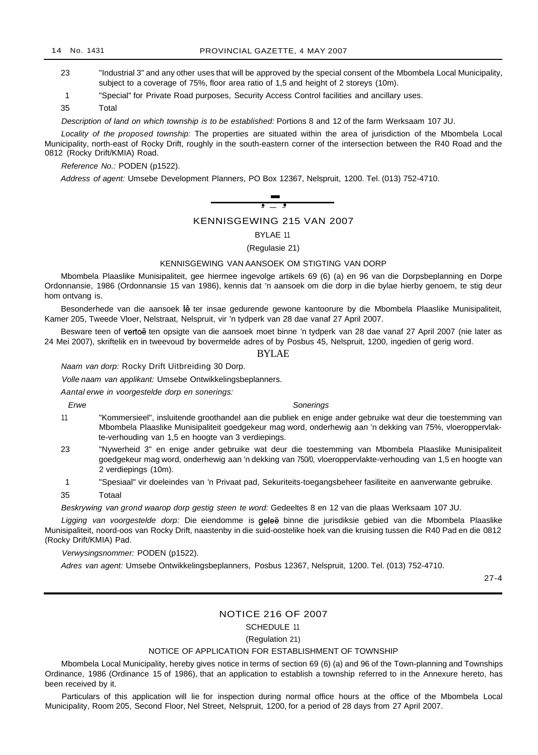- 23 "Industrial 3" and any other uses that will be approved by the special consent of the Mbombela Local Municipality, subject to a coverage of 75%, floor area ratio of 1,5 and height of 2 storeys (10m).
- 1 "Special" for Private Road purposes, Security Access Control facilities and ancillary uses.

35 Total

Description of land on which township is to be established: Portions 8 and 12 of the farm Werksaam 107 JU.

Locality of the proposed township: The properties are situated within the area of jurisdiction of the Mbombela Local Municipality, north-east of Rocky Drift, roughly in the south-eastern corner of the intersection between the R40 Road and the 0812 (Rocky Drift/KMIA) Road.

#### Reference No.: PODEN (p1522).



## KENNISGEWING 215 VAN 2007

#### BYLAE 11

(Regulasie 21)

## KENNISGEWING VAN AANSOEK OM STIGTING VAN DORP

Mbombela Plaaslike Munisipaliteit, gee hiermee ingevolge artikels 69 (6) (a) en 96 van die Dorpsbeplanning en Dorpe Ordonnansie, 1986 (Ordonnansie 15 van 1986), kennis dat 'n aansoek om die dorp in die bylae hierby genoem, te stig deur hom ontvang is.

Besonderhede van die aansoek lê ter insae gedurende gewone kantoorure by die Mbombela Plaaslike Munisipaliteit, Kamer 205, Tweede Vloer, Nelstraat, Nelspruit, vir 'n tydperk van 28 dae vanaf 27 April 2007.

Besware teen of vertoë ten opsigte van die aansoek moet binne 'n tydperk van 28 dae vanaf 27 April 2007 (nie later as 24 Mei 2007), skriftelik en in tweevoud by bovermelde adres of by Posbus 45, Nelspruit, 1200, ingedien of gerig word.

#### BYLAE

Naam van dorp: Rocky Drift Uitbreiding 30 Dorp.

Volle naam van applikant: Umsebe Ontwikkelingsbeplanners.

Aantal erwe in voorgestelde dorp en sonerings:

Erwe

#### Sonerings

- 11 "Kommersieel", insluitende groothandel aan die publiek en enige ander gebruike wat deur die toestemming van Mbombela Plaaslike Munisipaliteit goedgekeur mag word, onderhewig aan 'n dekking van 75%, vloeroppervlakte-verhouding van 1,5 en hoogte van 3 verdiepings.
- 23 "Nywerheid 3" en enige ander gebruike wat deur die toestemming van Mbombela Plaaslike Munisipaliteit goedgekeur mag word, onderhewig aan 'n dekking van 750/0, vloeroppervlakte-verhouding van 1,5 en hoogte van 2 verdiepings (10m).
- 1 "Spesiaal" vir doeleindes van 'n Privaat pad, Sekuriteits-toegangsbeheer fasiliteite en aanverwante gebruike.
- 35 Totaal

Beskrywing van grond waarop dorp gestig steen te word: Gedeeltes 8 en 12 van die plaas Werksaam 107 JU.

Ligging van voorgestelde dorp: Die eiendomme is geleë binne die jurisdiksie gebied van die Mbombela Plaaslike Munisipaliteit, noord-oos van Rocky Drift, naastenby in die suid-oostelike hoek van die kruising tussen die R40 Pad en die 0812 (Rocky Drift/KMIA) Pad.

Verwysingsnommer: PODEN (p1522).

Adres van agent: Umsebe Ontwikkelingsbeplanners, Posbus 12367, Nelspruit, 1200. Tel. (013) 752-4710.

27-4

## NOTICE 216 OF 2007

SCHEDULE 11

(Regulation 21)

#### NOTICE OF APPLICATION FOR ESTABLISHMENT OF TOWNSHIP

Mbombela Local Municipality, hereby gives notice in terms of section 69 (6) (a) and 96 of the Town-planning and Townships Ordinance, 1986 (Ordinance 15 of 1986), that an application to establish a township referred to in the Annexure hereto, has been received by it.

Particulars of this application will lie for inspection during normal office hours at the office of the Mbombela Local Municipality, Room 205, Second Floor, Nel Street, Nelspruit, 1200, for a period of 28 days from 27 April 2007.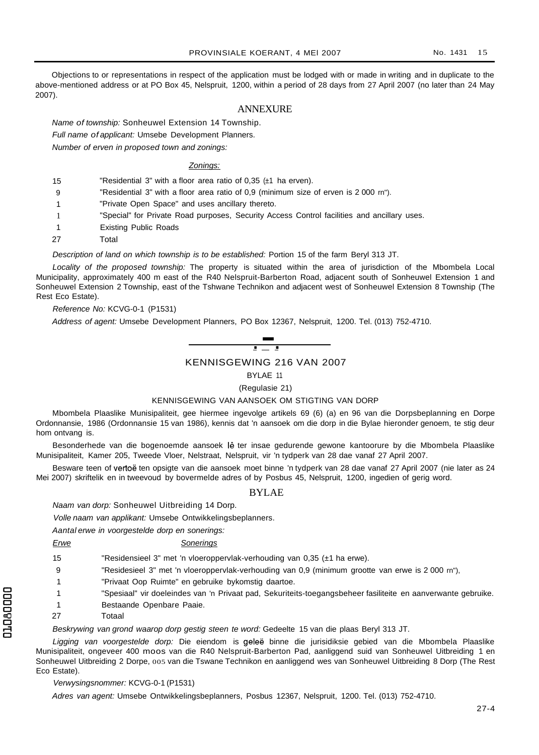Objections to or representations in respect of the application must be lodged with or made in writing and in duplicate to the above-mentioned address or at PO Box 45, Nelspruit, 1200, within a period of 28 days from 27 April 2007 (no later than 24 May 2007).

#### ANNEXURE

Name of township: Sonheuwel Extension 14 Township.

Full name of applicant: Umsebe Development Planners.

Number of erven in proposed town and zonings:

#### Zonings:

15 "Residential 3" with a floor area ratio of 0,35 (±1 ha erven).

- $\alpha$ "Residential 3" with a floor area ratio of 0,9 (minimum size of erven is 2 000 rn").
- 1 "Private Open Space" and uses ancillary thereto.
- 1 "Special" for Private Road purposes, Security Access Control facilities and ancillary uses.
- 1 Existing Public Roads
- 27 Total

Description of land on which township is to be established: Portion 15 of the farm Beryl 313 JT.

Locality of the proposed township: The property is situated within the area of jurisdiction of the Mbombela Local Municipality, approximately 400 m east of the R40 Nelspruit-Barberton Road, adjacent south of Sonheuwel Extension 1 and Sonheuwel Extension 2 Township, east of the Tshwane Technikon and adjacent west of Sonheuwel Extension 8 Township (The Rest Eco Estate).

#### Reference No: KCVG-0-1 (P1531)

Address of agent: Umsebe Development Planners, PO Box 12367, Nelspruit, 1200. Tel. (013) 752-4710.



BYLAE 11

#### (Regulasie 21)

#### KENNISGEWING VAN AANSOEK OM STIGTING VAN DORP

Mbombela Plaaslike Munisipaliteit, gee hiermee ingevolge artikels 69 (6) (a) en 96 van die Dorpsbeplanning en Dorpe Ordonnansie, 1986 (Ordonnansie 15 van 1986), kennis dat 'n aansoek om die dorp in die Bylae hieronder genoem, te stig deur hom ontvang is.

Besonderhede van die bogenoemde aansoek lê ter insae gedurende gewone kantoorure by die Mbombela Plaaslike Munisipaliteit, Kamer 205, Tweede Vloer, Nelstraat, Nelspruit, vir 'n tydperk van 28 dae vanaf 27 April 2007.

Besware teen of vertoë ten opsigte van die aansoek moet binne 'n tydperk van 28 dae vanaf 27 April 2007 (nie later as 24 Mei 2007) skriftelik en in tweevoud by bovermelde adres of by Posbus 45, Nelspruit, 1200, ingedien of gerig word.

#### BYLAE

Naam van dorp: Sonheuwel Uitbreiding 14 Dorp.

Volle naam van applikant: Umsebe Ontwikkelingsbeplanners.

Aantal erwe in voorgestelde dorp en sonerings:

## Erwe Sonerings

15 "Residensieel 3" met 'n vloeroppervlak-verhouding van 0,35 (±1 ha erwe).

9 "Residesieel 3" met 'n vloeroppervlak-verhouding van 0,9 (minimum grootte van erwe is 2 000 rn"),

- 1 "Privaat Oop Ruimte" en gebruike bykomstig daartoe.
- § <sup>1</sup> "Spesiaal" vir doeleindes van 'n Privaat pad, Sekuriteits-toegangsbeheer fasiliteite en aanverwante gebruike.
- § <sup>1</sup> Bestaande Openbare Paaie.
- 27 Totaal

Beskrywing van grond waarop dorp gestig steen te word: Gedeelte 15 van die plaas Beryl 313 JT.

Ligging van voorgestelde dorp: Die eiendom is geleë binne die jurisidiksie gebied van die Mbombela Plaaslike Munisipaliteit, ongeveer 400 moos van die R40 Nelspruit-Barberton Pad, aanliggend suid van Sonheuwel Uitbreiding 1 en Sonheuwel Uitbreiding 2 Dorpe, 005 van die Tswane Technikon en aanliggend wes van Sonheuwel Uitbreiding 8 Dorp (The Rest Eco Estate).

#### Verwysingsnommer: KCVG-0-1 (P1531)

Adres van agent: Umsebe Ontwikkelingsbeplanners, Posbus 12367, Nelspruit, 1200. Tel. (013) 752-4710.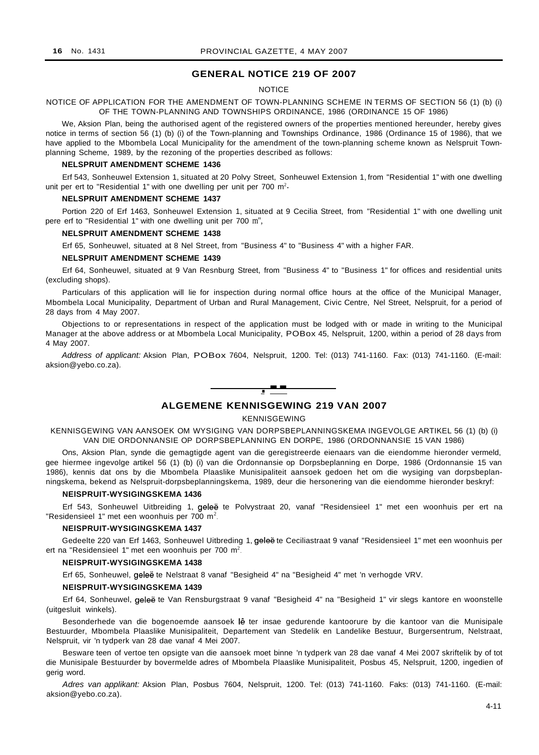## **GENERAL NOTICE 219 OF 2007**

#### **NOTICE**

NOTICE OF APPLICATION FOR THE AMENDMENT OF TOWN-PLANNING SCHEME IN TERMS OF SECTION 56 (1) (b) (i) OF THE TOWN-PLANNING AND TOWNSHIPS ORDINANCE, 1986 (ORDINANCE 15 OF 1986)

We, Aksion Plan, being the authorised agent of the registered owners of the properties mentioned hereunder, hereby gives notice in terms of section 56 (1) (b) (i) of the Town-planning and Townships Ordinance, 1986 (Ordinance 15 of 1986), that we have applied to the Mbombela Local Municipality for the amendment of the town-planning scheme known as Nelspruit Townplanning Scheme, 1989, by the rezoning of the properties described as follows:

#### **NELSPRUIT AMENDMENT SCHEME 1436**

Erf 543, Sonheuwel Extension 1, situated at 20 Polvy Street, Sonheuwel Extension 1, from "Residential 1" with one dwelling unit per ert to "Residential 1" with one dwelling per unit per 700  $m^2$ .

### **NELSPRUIT AMENDMENT SCHEME 1437**

Portion 220 of Erf 1463, Sonheuwel Extension 1, situated at 9 Cecilia Street, from "Residential 1" with one dwelling unit pere erf to "Residential 1" with one dwelling unit per 700 m",

#### **NELSPRUIT AMENDMENT SCHEME 1438**

Erf 65, Sonheuwel, situated at 8 Nel Street, from "Business 4" to "Business 4" with a higher FAR.

#### **NELSPRUIT AMENDMENT SCHEME 1439**

Erf 64, Sonheuwel, situated at 9 Van Resnburg Street, from "Business 4" to "Business 1" for offices and residential units (excluding shops).

Particulars of this application will lie for inspection during normal office hours at the office of the Municipal Manager, Mbombela Local Municipality, Department of Urban and Rural Management, Civic Centre, Nel Street, Nelspruit, for a period of 28 days from 4 May 2007.

Objections to or representations in respect of the application must be lodged with or made in writing to the Municipal Manager at the above address or at Mbombela Local Municipality, POBox 45, Nelspruit, 1200, within a period of 28 days from 4 May 2007.

Address of applicant: Aksion Plan, POBox 7604, Nelspruit, 1200. Tel: (013) 741-1160. Fax: (013) 741-1160. (E-mail: aksion@yebo.co.za).



## **ALGEMENE KENNISGEWING 219 VAN 2007**

#### KENNISGEWING

KENNISGEWING VAN AANSOEK OM WYSIGING VAN DORPSBEPLANNINGSKEMA INGEVOLGE ARTIKEL 56 (1) (b) (i) VAN DIE ORDONNANSIE OP DORPSBEPLANNING EN DORPE, 1986 (ORDONNANSIE 15 VAN 1986)

Ons, Aksion Plan, synde die gemagtigde agent van die geregistreerde eienaars van die eiendomme hieronder vermeld, gee hiermee ingevolge artikel 56 (1) (b) (i) van die Ordonnansie op Dorpsbeplanning en Dorpe, 1986 (Ordonnansie 15 van 1986), kennis dat ons by die Mbombela Plaaslike Munisipaliteit aansoek gedoen het om die wysiging van dorpsbeplanningskema, bekend as Nelspruit-dorpsbeplanningskema, 1989, deur die hersonering van die eiendomme hieronder beskryf:

#### **NElSPRUIT-WYSIGINGSKEMA 1436**

Erf 543, Sonheuwel Uitbreiding 1, geleë te Polvystraat 20, vanaf "Residensieel 1" met een woonhuis per ert na "Residensieel 1" met een woonhuis per 700 m<sup>2</sup>.

#### **NElSPRUIT-WYSIGINGSKEMA 1437**

Gedeelte 220 van Erf 1463, Sonheuwel Uitbreding 1, gelee te Ceciliastraat 9 vanaf "Residensieel 1" met een woonhuis per ert na "Residensieel 1" met een woonhuis per 700 m<sup>2</sup>.

#### **NElSPRUIT-WYSIGINGSKEMA 1438**

Erf 65, Sonheuwel, geleë te Nelstraat 8 vanaf "Besigheid 4" na "Besigheid 4" met 'n verhogde VRV.

#### **NElSPRUIT-WYSIGINGSKEMA 1439**

Erf 64, Sonheuwel, geleë te Van Rensburgstraat 9 vanaf "Besigheid 4" na "Besigheid 1" vir slegs kantore en woonstelle (uitgesluit winkels).

Besonderhede van die bogenoemde aansoek lê ter insae gedurende kantoorure by die kantoor van die Munisipale Bestuurder, Mbombela Plaaslike Munisipaliteit, Departement van Stedelik en Landelike Bestuur, Burgersentrum, Nelstraat, Nelspruit, vir 'n tydperk van 28 dae vanaf 4 Mei 2007.

Besware teen of vertoe ten opsigte van die aansoek moet binne 'n tydperk van 28 dae vanaf 4 Mei 2007 skriftelik by of tot die Munisipale Bestuurder by bovermelde adres of Mbombela Plaaslike Munisipaliteit, Posbus 45, Nelspruit, 1200, ingedien of gerig word.

Adres van applikant: Aksion Plan, Posbus 7604, Nelspruit, 1200. Tel: (013) 741-1160. Faks: (013) 741-1160. (E-mail: aksion@yebo.co.za).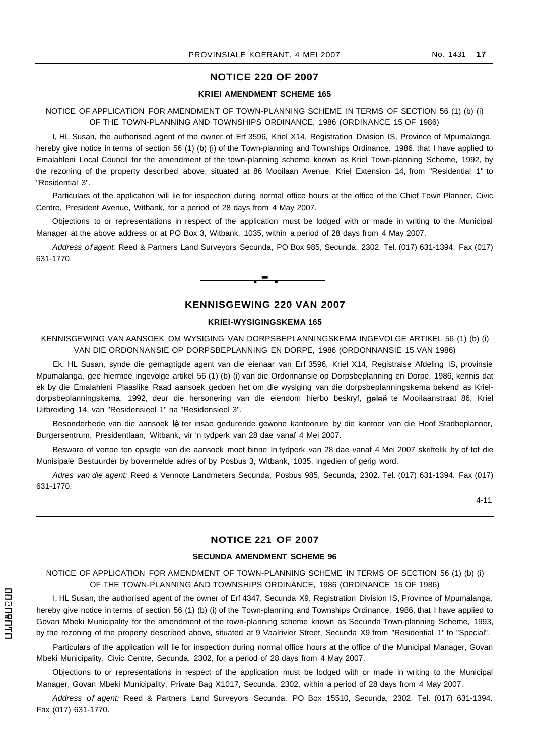### **NOTICE 220 OF 2007**

## **KRIEl AMENDMENT SCHEME 165**

NOTICE OF APPLICATION FOR AMENDMENT OF TOWN-PLANNING SCHEME IN TERMS OF SECTION 56 (1) (b) (i) OF THE TOWN-PLANNING AND TOWNSHIPS ORDINANCE, 1986 (ORDINANCE 15 OF 1986)

I, HL Susan, the authorised agent of the owner of Erf 3596, Kriel X14, Registration Division IS, Province of Mpumalanga, hereby give notice in terms of section 56 (1) (b) (i) of the Town-planning and Townships Ordinance, 1986, that I have applied to Emalahleni Local Council for the amendment of the town-planning scheme known as Kriel Town-planning Scheme, 1992, by the rezoning of the property described above, situated at 86 Mooilaan Avenue, Kriel Extension 14, from "Residential 1" to "Residential 3".

Particulars of the application will lie for inspection during normal office hours at the office of the Chief Town Planner, Civic Centre, President Avenue, Witbank, for a period of 28 days from 4 May 2007.

Objections to or representations in respect of the application must be lodged with or made in writing to the Municipal Manager at the above address or at PO Box 3, Witbank, 1035, within a period of 28 days from 4 May 2007.

Address of agent: Reed & Partners Land Surveyors Secunda, PO Box 985, Secunda, 2302. Tel. (017) 631-1394. Fax (017) 631-1770.



#### **KENNISGEWING 220 VAN 2007**

#### **KRIEl-WYSIGINGSKEMA 165**

KENNISGEWING VAN AANSOEK OM WYSIGING VAN DORPSBEPLANNINGSKEMA INGEVOLGE ARTIKEL 56 (1) (b) (i) VAN DIE ORDONNANSIE OP DORPSBEPLANNING EN DORPE, 1986 (ORDONNANSIE 15 VAN 1986)

Ek, HL Susan, synde die gemagtigde agent van die eienaar van Erf 3596, Kriel X14, Registraise Afdeling IS, provinsie Mpumalanga, gee hiermee ingevolge artikel 56 (1) (b) (i) van die Ordonnansie op Dorpsbeplanning en Dorpe, 1986, kennis dat ek by die Emalahleni Plaaslike Raad aansoek gedoen het om die wysiging van die dorpsbeplanningskema bekend as Krieldorpsbeplanningskema, 1992, deur die hersonering van die eiendom hierbo beskryf, geleë te Mooilaanstraat 86, Kriel Uitbreiding 14, van "Residensieel 1" na "Residensieel 3".

Besonderhede van die aansoek lê ter insae gedurende gewone kantoorure by die kantoor van die Hoof Stadbeplanner, Burgersentrum, Presidentlaan, Witbank, vir 'n tydperk van 28 dae vanaf 4 Mei 2007.

Besware of vertoe ten opsigte van die aansoek moet binne In tydperk van 28 dae vanaf 4 Mei 2007 skriftelik by of tot die Munisipale Bestuurder by bovermelde adres of by Posbus 3, Witbank, 1035, ingedien of gerig word.

Adres van die agent: Reed & Vennote Landmeters Secunda, Posbus 985, Secunda, 2302. Tel. (017) 631-1394. Fax (017) 631-1770.

4-11

## **NOTICE 221 OF 2007**

#### **SECUNDA AMENDMENT SCHEME 96**

NOTICE OF APPLICATION FOR AMENDMENT OF TOWN-PLANNING SCHEME IN TERMS OF SECTION 56 (1) (b) (i) OF THE TOWN-PLANNING AND TOWNSHIPS ORDINANCE, 1986 (ORDINANCE 15 OF 1986)

I, HL Susan, the authorised agent of the owner of Erf 4347, Secunda X9, Registration Division IS, Province of Mpumalanga, hereby give notice in terms of section 56 (1) (b) (i) of the Town-planning and Townships Ordinance, 1986, that I have applied to Govan Mbeki Municipality for the amendment of the town-planning scheme known as Secunda Town-planning Scheme, 1993, by the rezoning of the property described above, situated at 9 Vaalrivier Street, Secunda X9 from "Residential 1" to "Special".

Particulars of the application will lie for inspection during normal office hours at the office of the Municipal Manager, Govan Mbeki Municipality, Civic Centre, Secunda, 2302, for a period of 28 days from 4 May 2007.

Objections to or representations in respect of the application must be lodged with or made in writing to the Municipal Manager, Govan Mbeki Municipality, Private Bag X1017, Secunda, 2302, within a period of 28 days from 4 May 2007.

Address of agent: Reed & Partners Land Surveyors Secunda, PO Box 15510, Secunda, 2302. Tel. (017) 631-1394. Fax (017) 631-1770.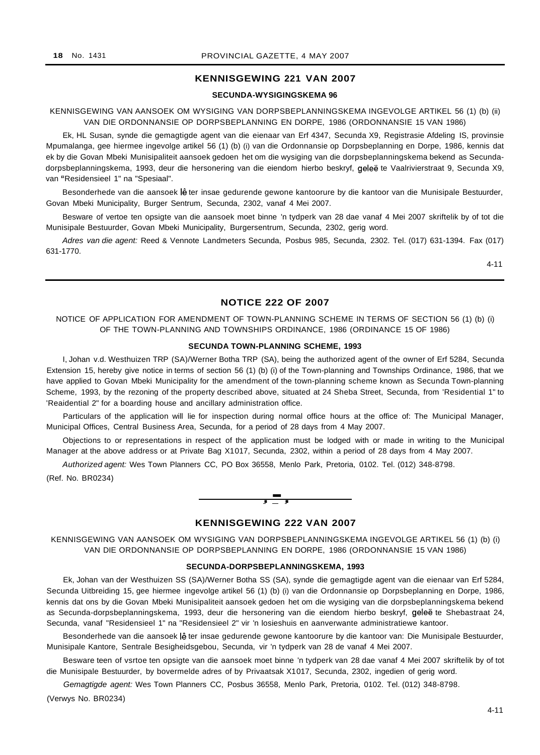## **KENNISGEWING 221 VAN 2007**

#### **SECUNDA-WYSIGINGSKEMA 96**

KENNISGEWING VAN AANSOEK OM WYSIGING VAN DORPSBEPLANNINGSKEMA INGEVOLGE ARTIKEL 56 (1) (b) (ii) VAN DIE ORDONNANSIE OP DORPSBEPLANNING EN DORPE, 1986 (ORDONNANSIE 15 VAN 1986)

Ek, HL Susan, synde die gemagtigde agent van die eienaar van Erf 4347, Secunda X9, Registrasie Afdeling IS, provinsie Mpumalanga, gee hiermee ingevolge artikel 56 (1) (b) (i) van die Ordonnansie op Dorpsbeplanning en Dorpe, 1986, kennis dat ek by die Govan Mbeki Munisipaliteit aansoek gedoen het om die wysiging van die dorpsbeplanningskema bekend as Secundadorpsbeplanningskema, 1993, deur die hersonering van die eiendom hierbo beskryf, geleë te Vaalrivierstraat 9, Secunda X9, van "Residensieel 1" na "Spesiaal".

Besonderhede van die aansoek lê ter insae gedurende gewone kantoorure by die kantoor van die Munisipale Bestuurder, Govan Mbeki Municipality, Burger Sentrum, Secunda, 2302, vanaf 4 Mei 2007.

Besware of vertoe ten opsigte van die aansoek moet binne 'n tydperk van 28 dae vanaf 4 Mei 2007 skriftelik by of tot die Munisipale Bestuurder, Govan Mbeki Municipality, Burgersentrum, Secunda, 2302, gerig word.

Adres van die agent: Reed & Vennote Landmeters Secunda, Posbus 985, Secunda, 2302. Tel. (017) 631-1394. Fax (017) 631-1770.

4-11

## **NOTICE 222 OF 2007**

NOTICE OF APPLICATION FOR AMENDMENT OF TOWN-PLANNING SCHEME IN TERMS OF SECTION 56 (1) (b) (i) OF THE TOWN-PLANNING AND TOWNSHIPS ORDINANCE, 1986 (ORDINANCE 15 OF 1986)

#### **SECUNDA TOWN-PLANNING SCHEME, 1993**

I, Johan v.d. Westhuizen TRP (SA)/Werner Botha TRP (SA), being the authorized agent of the owner of Erf 5284, Secunda Extension 15, hereby give notice in terms of section 56 (1) (b) (i) of the Town-planning and Townships Ordinance, 1986, that we have applied to Govan Mbeki Municipality for the amendment of the town-planning scheme known as Secunda Town-planning Scheme, 1993, by the rezoning of the property described above, situated at 24 Sheba Street, Secunda, from 'Residential 1" to 'Reaidential 2" for a boarding house and ancillary administration office.

Particulars of the application will lie for inspection during normal office hours at the office of: The Municipal Manager, Municipal Offices, Central Business Area, Secunda, for a period of 28 days from 4 May 2007.

Objections to or representations in respect of the application must be lodged with or made in writing to the Municipal Manager at the above address or at Private Bag X1017, Secunda, 2302, within a period of 28 days from 4 May 2007.

Authorized agent: Wes Town Planners CC, PO Box 36558, Menlo Park, Pretoria, 0102. Tel. (012) 348-8798.

(Ref. No. BR0234)



## **KENNISGEWING 222 VAN 2007**

KENNISGEWING VAN AANSOEK OM WYSIGING VAN DORPSBEPLANNINGSKEMA INGEVOLGE ARTIKEL 56 (1) (b) (i) VAN DIE ORDONNANSIE OP DORPSBEPLANNING EN DORPE, 1986 (ORDONNANSIE 15 VAN 1986)

#### **SECUNDA-DORPSBEPLANNINGSKEMA, 1993**

Ek, Johan van der Westhuizen SS (SA)/Werner Botha SS (SA), synde die gemagtigde agent van die eienaar van Erf 5284, Secunda Uitbreiding 15, gee hiermee ingevolge artikel 56 (1) (b) (i) van die Ordonnansie op Dorpsbeplanning en Dorpe, 1986, kennis dat ons by die Govan Mbeki Munisipaliteit aansoek gedoen het om die wysiging van die dorpsbeplanningskema bekend as Secunda-dorpsbeplanningskema, 1993, deur die hersonering van die eiendom hierbo beskryf, gelee te Shebastraat 24, Secunda, vanaf "Residensieel 1" na "Residensieel 2" vir 'n losieshuis en aanverwante administratiewe kantoor.

Besonderhede van die aansoek lê ter insae gedurende gewone kantoorure by die kantoor van: Die Munisipale Bestuurder, Munisipale Kantore, Sentrale Besigheidsgebou, Secunda, vir 'n tydperk van 28 de vanaf 4 Mei 2007.

Besware teen of vsrtoe ten opsigte van die aansoek moet binne 'n tydperk van 28 dae vanaf 4 Mei 2007 skriftelik by of tot die Munisipale Bestuurder, by bovermelde adres of by Privaatsak X1017, Secunda, 2302, ingedien of gerig word.

Gemagtigde agent: Wes Town Planners CC, Posbus 36558, Menlo Park, Pretoria, 0102. Tel. (012) 348-8798.

(Verwys No. BR0234)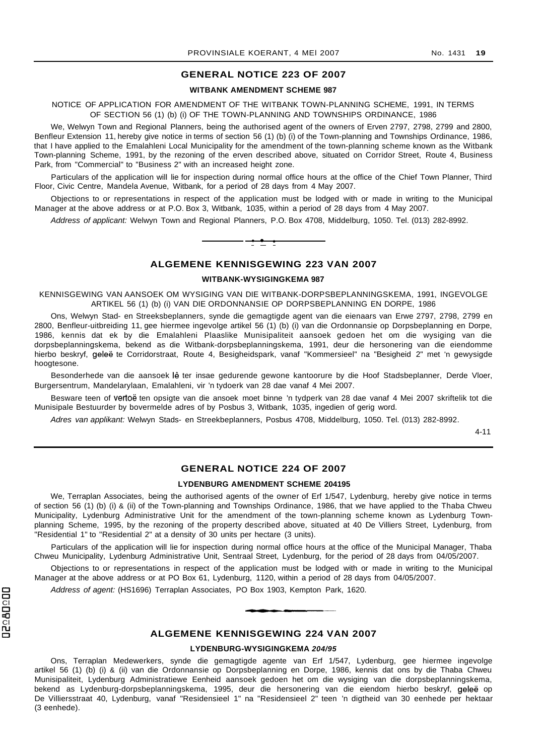## **GENERAL NOTICE 223 OF 2007**

#### **WITBANK AMENDMENT SCHEME 987**

NOTICE OF APPLICATION FOR AMENDMENT OF THE WITBANK TOWN-PLANNING SCHEME, 1991, IN TERMS OF SECTION 56 (1) (b) (i) OF THE TOWN-PLANNING AND TOWNSHIPS ORDINANCE, 1986

We, Welwyn Town and Regional Planners, being the authorised agent of the owners of Erven 2797, 2798, 2799 and 2800, Benfleur Extension 11, hereby give notice in terms of section 56 (1) (b) (i) of the Town-planning and Townships Ordinance, 1986, that I have applied to the Emalahleni Local Municipality for the amendment of the town-planning scheme known as the Witbank Town-planning Scheme, 1991, by the rezoning of the erven described above, situated on Corridor Street, Route 4, Business Park, from "Commercial" to "Business 2" with an increased height zone.

Particulars of the application will lie for inspection during normal office hours at the office of the Chief Town Planner, Third Floor, Civic Centre, Mandela Avenue, Witbank, for a period of 28 days from 4 May 2007.

Objections to or representations in respect of the application must be lodged with or made in writing to the Municipal Manager at the above address or at P.O. Box 3, Witbank, 1035, within a period of 28 days from 4 May 2007.

Address of applicant: Welwyn Town and Regional Planners, P.O. Box 4708, Middelburg, 1050. Tel. (013) 282-8992.



## **ALGEMENE KENNISGEWING 223 VAN 2007**

#### **WITBANK-WYSIGINGKEMA 987**

KENNISGEWING VAN AANSOEK OM WYSIGING VAN DIE WITBANK-DORPSBEPLANNINGSKEMA, 1991, INGEVOLGE ARTIKEL 56 (1) (b) (i) VAN DIE ORDONNANSIE OP DORPSBEPLANNING EN DORPE, 1986

Ons, Welwyn Stad- en Streeksbeplanners, synde die gemagtigde agent van die eienaars van Erwe 2797, 2798, 2799 en 2800, Benfleur-uitbreiding 11, gee hiermee ingevolge artikel 56 (1) (b) (i) van die Ordonnansie op Dorpsbeplanning en Dorpe, 1986, kennis dat ek by die Emalahleni Plaaslike Munisipaliteit aansoek gedoen het om die wysiging van die dorpsbeplanningskema, bekend as die Witbank-dorpsbeplanningskema, 1991, deur die hersonering van die eiendomme hierbo beskryf, gelee te Corridorstraat, Route 4, Besigheidspark, vanaf "Kommersieel" na "Besigheid 2" met 'n gewysigde hoogtesone.

Besonderhede van die aansoek lê ter insae gedurende gewone kantoorure by die Hoof Stadsbeplanner, Derde Vloer, Burgersentrum, Mandelarylaan, Emalahleni, vir 'n tydoerk van 28 dae vanaf 4 Mei 2007.

Besware teen of vertoë ten opsigte van die ansoek moet binne 'n tydperk van 28 dae vanaf 4 Mei 2007 skriftelik tot die Munisipale Bestuurder by bovermelde adres of by Posbus 3, Witbank, 1035, ingedien of gerig word.

Adres van applikant: Welwyn Stads- en Streekbeplanners, Posbus 4708, Middelburg, 1050. Tel. (013) 282-8992.

4-11

#### **GENERAL NOTICE 224 OF 2007**

#### **LYDENBURG AMENDMENT SCHEME 204195**

We. Terraplan Associates, being the authorised agents of the owner of Erf 1/547, Lydenburg, hereby give notice in terms of section 56 (1) (b) (i) & (ii) of the Town-planning and Townships Ordinance, 1986, that we have applied to the Thaba Chweu Municipality, Lydenburg Administrative Unit for the amendment of the town-planning scheme known as Lydenburg Townplanning Scheme, 1995, by the rezoning of the property described above, situated at 40 De Villiers Street, Lydenburg, from "Residential 1" to "Residential 2" at a density of 30 units per hectare (3 units).

Particulars of the application will lie for inspection during normal office hours at the office of the Municipal Manager, Thaba Chweu Municipality, Lydenburg Administrative Unit, Sentraal Street, Lydenburg, for the period of 28 days from 04/05/2007.

Objections to or representations in respect of the application must be lodged with or made in writing to the Municipal Manager at the above address or at PO Box 61, Lydenburg, 1120, within a period of 28 days from 04/05/2007.

Address of agent: (HS1696) Terraplan Associates, PO Box 1903, Kempton Park, 1620.

**CJ \_\_•** ....\_..............\_--~-

#### **ALGEMENE KENNISGEWING 224 VAN 2007**

#### **LYDENBURG-WYSIGINGKEMA 204/95**

Ons, Terraplan Medewerkers, synde die gemagtigde agente van Erf 1/547, Lydenburg, gee hiermee ingevolge artikel 56 (1) (b) (i) & (ii) van die Ordonnansie op Dorpsbeplanning en Dorpe, 1986, kennis dat ons by die Thaba Chweu Munisipaliteit, Lydenburg Administratiewe Eenheid aansoek gedoen het om die wysiging van die dorpsbeplanningskema, bekend as Lydenburg-dorpsbeplanningskema, 1995, deur die hersonering van die eiendom hierbo beskryf, geleë op De Villiersstraat 40, Lydenburg, vanaf "Residensieel 1" na "Residensieel 2" teen 'n digtheid van 30 eenhede per hektaar (3 eenhede).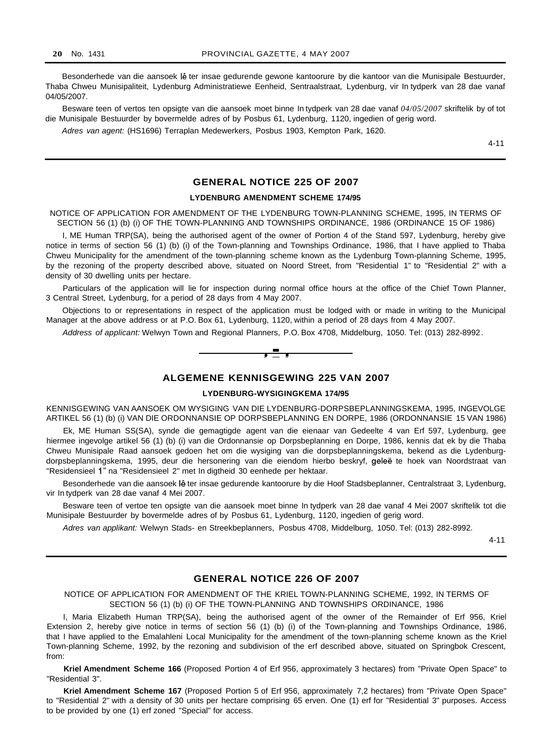Besonderhede van die aansoek lê ter insae gedurende gewone kantoorure by die kantoor van die Munisipale Bestuurder, Thaba Chweu Munisipaliteit, Lydenburg Administratiewe Eenheid, Sentraalstraat, Lydenburg, vir In tydperk van 28 dae vanaf 04/05/2007.

Besware teen of vertos ten opsigte van die aansoek moet binne In tydperk van 28 dae vanaf *04/05/2007* skriftelik by of tot die Munisipale Bestuurder by bovermelde adres of by Posbus 61, Lydenburg, 1120, ingedien of gerig word.

Adres van agent: (HS1696) Terraplan Medewerkers, Posbus 1903, Kempton Park, 1620.

4-11

## **GENERAL NOTICE 225 OF 2007**

## **LYDENBURG AMENDMENT SCHEME 174/95**

NOTICE OF APPLICATION FOR AMENDMENT OF THE LYDENBURG TOWN-PLANNING SCHEME, 1995, IN TERMS OF SECTION 56 (1) (b) (i) OF THE TOWN-PLANNING AND TOWNSHIPS ORDINANCE, 1986 (ORDINANCE 15 OF 1986)

I, ME Human TRP(SA), being the authorised agent of the owner of Portion 4 of the Stand 597, Lydenburg, hereby give notice in terms of section 56 (1) (b) (i) of the Town-planning and Townships Ordinance, 1986, that I have applied to Thaba Chweu Municipality for the amendment of the town-planning scheme known as the Lydenburg Town-planning Scheme, 1995, by the rezoning of the property described above, situated on Noord Street, from "Residential 1" to "Residential 2" with a density of 30 dwelling units per hectare.

Particulars of the application will lie for inspection during normal office hours at the office of the Chief Town Planner, 3 Central Street, Lydenburg, for a period of 28 days from 4 May 2007.

Objections to or representations in respect of the application must be lodged with or made in writing to the Municipal Manager at the above address or at P.O. Box 61, Lydenburg, 1120, within a period of 28 days from 4 May 2007.

Address of applicant: Welwyn Town and Regional Planners, P.O. Box 4708, Middelburg, 1050. Tel: (013) 282-8992.



## **ALGEMENE KENNISGEWING 225 VAN 2007**

#### **LYDENBURG-WYSIGINGKEMA 174/95**

KENNISGEWING VAN AANSOEK OM WYSIGING VAN DIE LYDENBURG-DORPSBEPLANNINGSKEMA, 1995, INGEVOLGE ARTIKEL 56 (1) (b) (i) VAN DIE ORDONNANSIE OP DORPSBEPLANNING EN DORPE, 1986 (ORDONNANSIE 15 VAN 1986)

Ek, ME Human SS(SA), synde die gemagtigde agent van die eienaar van Gedeelte 4 van Erf 597, Lydenburg, gee hiermee ingevolge artikel 56 (1) (b) (i) van die Ordonnansie op Dorpsbeplanning en Dorpe, 1986, kennis dat ek by die Thaba Chweu Munisipale Raad aansoek gedoen het om die wysiging van die dorpsbeplanningskema, bekend as die Lydenburgdorpsbeplanningskema, 1995, deur die hersonering van die eiendom hierbo beskryf, geleë te hoek van Noordstraat van "Residensieel 1" na "Residensieel 2" met In digtheid 30 eenhede per hektaar.

Besonderhede van die aansoek lê ter insae gedurende kantoorure by die Hoof Stadsbeplanner, Centralstraat 3, Lydenburg, vir In tydperk van 28 dae vanaf 4 Mei 2007.

Besware teen of vertoe ten opsigte van die aansoek moet binne In tydperk van 28 dae vanaf 4 Mei 2007 skriftelik tot die Munisipale Bestuurder by bovermelde adres of by Posbus 61, Lydenburg, 1120, ingedien of gerig word.

Adres van applikant: Welwyn Stads- en Streekbeplanners, Posbus 4708, Middelburg, 1050. Tel: (013) 282-8992.

4-11

## **GENERAL NOTICE 226 OF 2007**

NOTICE OF APPLICATION FOR AMENDMENT OF THE KRIEL TOWN-PLANNING SCHEME, 1992, IN TERMS OF SECTION 56 (1) (b) (i) OF THE TOWN-PLANNING AND TOWNSHIPS ORDINANCE, 1986

I, Maria Elizabeth Human TRP(SA), being the authorised agent of the owner of the Remainder of Erf 956, Kriel Extension 2, hereby give notice in terms of section 56 (1) (b) (i) of the Town-planning and Townships Ordinance, 1986, that I have applied to the Emalahleni Local Municipality for the amendment of the town-planning scheme known as the Kriel Town-planning Scheme, 1992, by the rezoning and subdivision of the erf described above, situated on Springbok Crescent, from:

**Kriel Amendment Scheme 166** (Proposed Portion 4 of Erf 956, approximately 3 hectares) from "Private Open Space" to "Residential 3".

**Kriel Amendment Scheme 167** (Proposed Portion 5 of Erf 956, approximately 7,2 hectares) from "Private Open Space" to "Residential 2" with a density of 30 units per hectare comprising 65 erven. One (1) erf for "Residential 3" purposes. Access to be provided by one (1) erf zoned "Special" for access.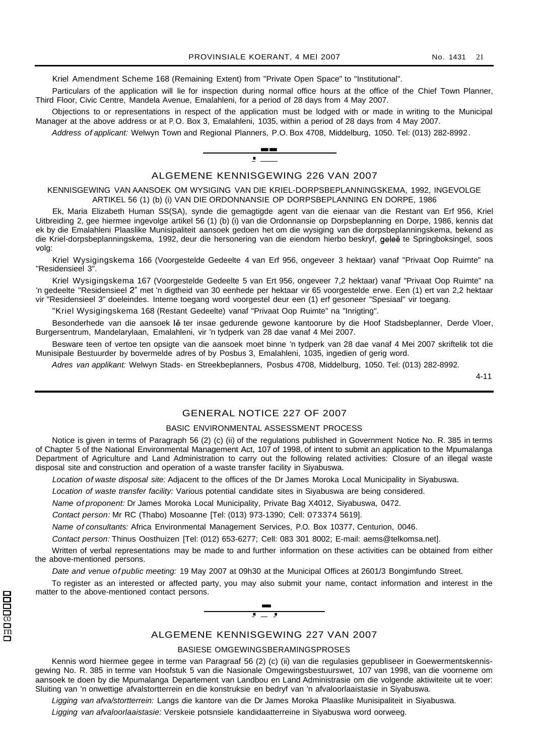Kriel Amendment Scheme 168 (Remaining Extent) from "Private Open Space" to "Institutional".

Particulars of the application will lie for inspection during normal office hours at the office of the Chief Town Planner. Third Floor, Civic Centre, Mandela Avenue, Emalahleni, for a period of 28 days from 4 May 2007.

Objections to or representations in respect of the application must be lodged with or made in writing to the Municipal Manager at the above address or at P.O. Box 3, Emalahleni, 1035, within a period of 28 days from 4 May 2007.

Address of applicant: Welwyn Town and Regional Planners, P.O. Box 4708, Middelburg, 1050. Tel: (013) 282-8992.



KENNISGEWING VAN AANSOEK OM WYSIGING VAN DIE KRIEL-DORPSBEPLANNINGSKEMA, 1992, INGEVOLGE ARTIKEL 56 (1) (b) (i) VAN DIE ORDONNANSIE OP DORPSBEPLANNING EN DORPE, 1986

Ek, Maria Elizabeth Human SS(SA), synde die gemagtigde agent van die eienaar van die Restant van Erf 956, Kriel Uitbreiding 2, gee hiermee ingevolge artikel 56 (1) (b) (i) van die Ordonnansie op Dorpsbeplanning en Dorpe, 1986, kennis dat ek by die Emalahleni Plaaslike Munisipaliteit aansoek gedoen het om die wysiging van die dorpsbeplanningskema, bekend as die Kriel-dorpsbeplanningskema, 1992, deur die hersonering van die eiendom hierbo beskryf, geleë te Springboksingel, soos volg:

Kriel Wysigingskema 166 (Voorgestelde Gedeelte 4 van Erf 956, ongeveer 3 hektaar) vanaf "Privaat Oop Ruimte" na "Residensieel 3".

Kriel Wysigingskema 167 (Voorgestelde Gedeelte 5 van Ert 956, ongeveer 7,2 hektaar) vanaf "Privaat Oop Ruimte" na 'n gedeelte "Residensieel 2" met 'n digtheid van 30 eenhede per hektaar vir 65 voorgestelde erwe. Een (1) ert van 2,2 hektaar vir "Residensieel 3" doeleindes. Interne toegang word voorgestel deur een (1) erf gesoneer "Spesiaal" vir toegang.

"Kriel Wysigingskema 168 (Restant Gedeelte) vanaf "Privaat Oop Ruimte" na "Inrigting".

Besonderhede van die aansoek lê ter insae gedurende gewone kantoorure by die Hoof Stadsbeplanner, Derde Vloer, Burgersentrum, Mandelarylaan, Emalahleni, vir 'n tydperk van 28 dae vanaf 4 Mei 2007.

Besware teen of vertoe ten opsigte van die aansoek moet binne 'n tydperk van 28 dae vanaf 4 Mei 2007 skriftelik tot die Munisipale Bestuurder by bovermelde adres of by Posbus 3, Emalahleni, 1035, ingedien of gerig word.

Adres van applikant: Welwyn Stads- en Streekbeplanners, Posbus 4708, Middelburg, 1050. Tel: (013) 282-8992.

4-11

## GENERAL NOTICE 227 OF 2007

#### BASIC ENVIRONMENTAL ASSESSMENT PROCESS

Notice is given in terms of Paragraph 56 (2) (c) (ii) of the regulations published in Government Notice No. R. 385 in terms of Chapter 5 of the National Environmental Management Act, 107 of 1998, of intent to submit an application to the Mpumalanga Department of Agriculture and Land Administration to carry out the following related activities: Closure of an illegal waste disposal site and construction and operation of a waste transfer facility in Siyabuswa.

Location of waste disposal site: Adjacent to the offices of the Dr James Moroka Local Municipality in Siyabuswa.

Location of waste transfer facility: Various potential candidate sites in Siyabuswa are being considered.

Name of proponent: Dr James Moroka Local Municipality, Private Bag X4012, Siyabuswa, 0472.

Contact person: Mr RC (Thabo) Mosoanne [Tel: (013) 973-1390; Cell: 073374 5619].

Name of consultants: Africa Environmental Management Services, P.O. Box 10377, Centurion, 0046.

Contact person: Thinus Oosthuizen [Tel: (012) 653-6277; Cell: 083 301 8002; E-mail: aems@telkomsa.net].

Written of verbal representations may be made to and further information on these activities can be obtained from either the above-mentioned persons.

Date and venue of public meeting: 19 May 2007 at 09h30 at the Municipal Offices at 2601/3 Bongimfundo Street.

To register as an interested or affected party, you may also submit your name, contact information and interest in the matter to the above-mentioned contact persons.



ALGEMENE KENNISGEWING 227 VAN 2007

#### BASIESE OMGEWINGSBERAMINGSPROSES

Kennis word hiermee gegee in terme van Paragraaf 56 (2) (c) (ii) van die regulasies gepubliseer in Goewermentskennisgewing No. R. 385 in terme van Hoofstuk 5 van die Nasionale Omgewingsbestuurswet, 107 van 1998, van die voorneme om aansoek te doen by die Mpumalanga Departement van Landbou en Land Administrasie om die volgende aktiwiteite uit te voer: Sluiting van 'n onwettige afvalstortterrein en die konstruksie en bedryf van 'n afvaloorlaaistasie in Siyabuswa.

Ligging van afva/stortterrein: Langs die kantore van die Dr James Moroka Plaaslike Munisipaliteit in Siyabuswa.

Ligging van afvaloorlaaistasie: Verskeie potsnsiele kandidaatterreine in Siyabuswa word oorweeg.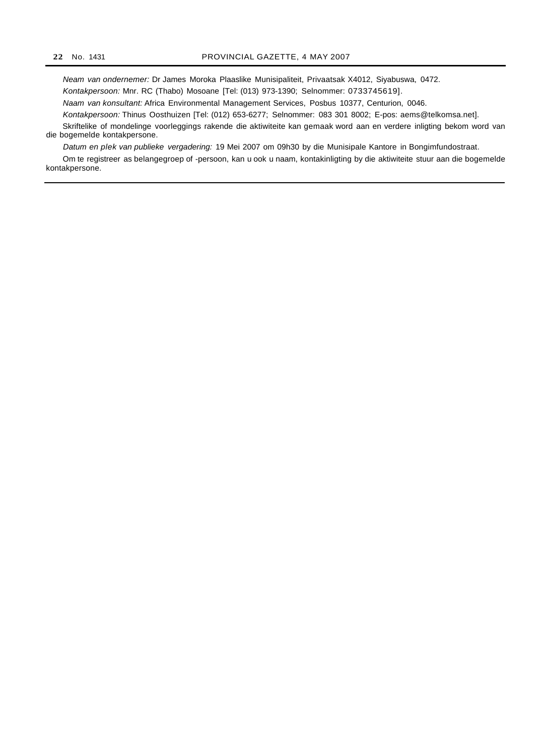Neam van ondernemer: Dr James Moroka Plaaslike Munisipaliteit, Privaatsak X4012, Siyabuswa, 0472. Kontakpersoon: Mnr. RC (Thabo) Mosoane [Tel: (013) 973-1390; Selnommer: 0733745619].

Naam van konsultant: Africa Environmental Management Services, Posbus 10377, Centurion, 0046.

Kontakpersoon: Thinus Oosthuizen [Tel: (012) 653-6277; Selnommer: 083 301 8002; E-pos: aems@telkomsa.net].

Skriftelike of mondelinge voorleggings rakende die aktiwiteite kan gemaak word aan en verdere inligting bekom word van die bogemelde kontakpersone.

Datum en plek van publieke vergadering: 19 Mei 2007 om 09h30 by die Munisipale Kantore in Bongimfundostraat.

Om te registreer as belangegroep of -persoon, kan u ook u naam, kontakinligting by die aktiwiteite stuur aan die bogemelde kontakpersone.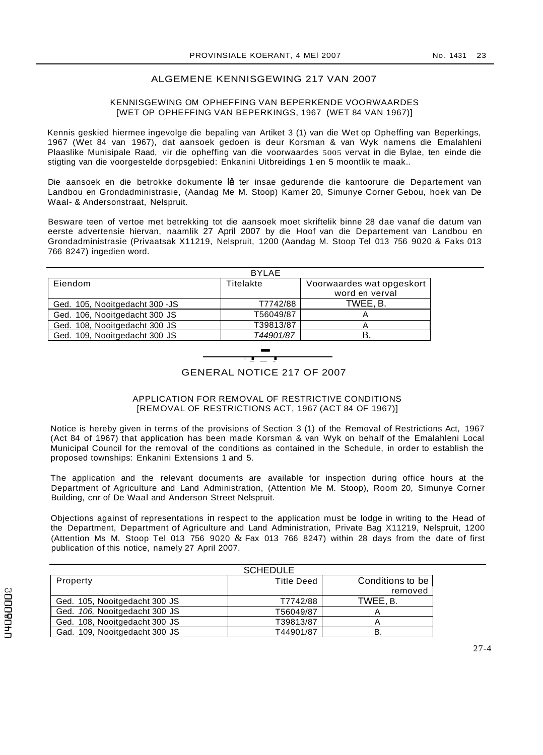## ALGEMENE KENNISGEWING 217 VAN 2007

#### KENNISGEWING OM OPHEFFING VAN BEPERKENDE VOORWAARDES [WET OP OPHEFFING VAN BEPERKINGS, 1967 (WET 84 VAN 1967)]

Kennis geskied hiermee ingevolge die bepaling van Artiket 3 (1) van die Wet op Opheffing van Beperkings, 1967 (Wet 84 van 1967), dat aansoek gedoen is deur Korsman & van Wyk namens die Emalahleni Plaaslike Munisipale Raad, vir die opheffing van die voorwaardes 5005 vervat in die Bylae, ten einde die stigting van die voorgestelde dorpsgebied: Enkanini Uitbreidings 1 en 5 moontlik te maak..

Die aansoek en die betrokke dokumente lê ter insae gedurende die kantoorure die Departement van Landbou en Grondadministrasie, (Aandag Me M. Stoop) Kamer 20, Simunye Corner Gebou, hoek van De Waal- & Andersonstraat, Nelspruit.

Besware teen of vertoe met betrekking tot die aansoek moet skriftelik binne 28 dae vanaf die datum van eerste advertensie hiervan, naamlik 27 April 2007 by die Hoof van die Departement van Landbou en Grondadministrasie (Privaatsak X11219, Nelspruit, 1200 (Aandag M. Stoop Tel 013 756 9020 & Faks 013 766 8247) ingedien word.

|                                 | <b>BYLAE</b> |                           |
|---------------------------------|--------------|---------------------------|
| Eiendom                         | Titelakte    | Voorwaardes wat opgeskort |
|                                 |              | word en verval            |
| Ged. 105, Nooitgedacht 300 - JS | T7742/88     | TWEE, B.                  |
| Ged. 106, Nooitgedacht 300 JS   | T56049/87    | A                         |
| Ged. 108, Nooitgedacht 300 JS   | T39813/87    |                           |
| Ged. 109, Nooitgedacht 300 JS   | T44901/87    | В.                        |
|                                 |              |                           |
|                                 |              |                           |
|                                 |              |                           |

## GENERAL NOTICE 217 OF 2007

## APPLICATION FOR REMOVAL OF RESTRICTIVE CONDITIONS [REMOVAL OF RESTRICTIONS ACT, 1967 (ACT 84 OF 1967)]

Notice is hereby given in terms of the provisions of Section 3 (1) of the Removal of Restrictions Act, 1967 (Act 84 of 1967) that application has been made Korsman & van Wyk on behalf of the Emalahleni Local Municipal Council for the removal of the conditions as contained in the Schedule, in order to establish the proposed townships: Enkanini Extensions 1 and 5.

The application and the relevant documents are available for inspection during office hours at the Department of Agriculture and Land Administration, (Attention Me M. Stoop), Room 20, Simunye Corner Building, cnr of De Waal and Anderson Street Nelspruit.

Objections against of representations in respect to the application must be lodge in writing to the Head of the Department, Department of Agriculture and Land Administration, Private Bag X11219, Nelspruit, 1200 (Attention Ms M. Stoop Tel 013 756 9020  $&$  Fax 013 766 8247) within 28 days from the date of first publication of this notice, namely 27 April 2007.

|                               | <b>SCHEDULE</b>   |                  |
|-------------------------------|-------------------|------------------|
| Property                      | <b>Title Deed</b> | Conditions to be |
|                               |                   | removed          |
| Ged. 105, Nooitgedacht 300 JS | T7742/88          | TWEE. B.         |
| Ged. 106, Nooitgedacht 300 JS | T56049/87         |                  |
| Ged. 108, Nooitgedacht 300 JS | T39813/87         |                  |
| Gad. 109, Nooitgedacht 300 JS | T44901/87         | в                |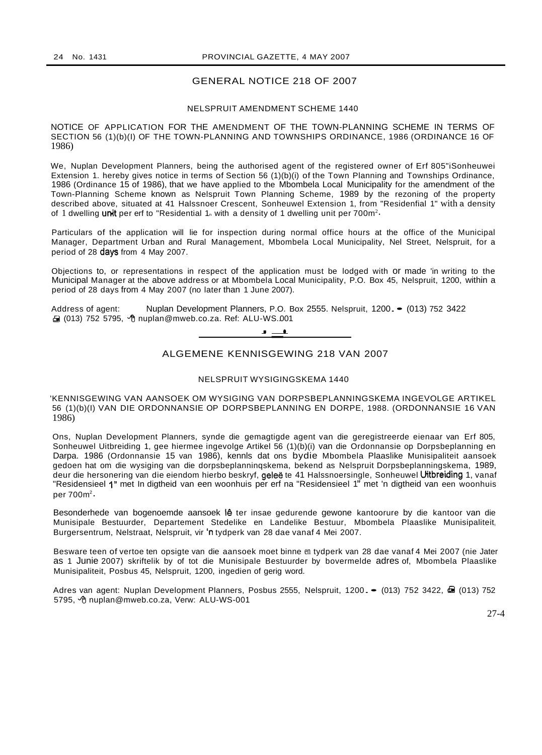## GENERAL NOTICE 218 OF 2007

#### NELSPRUIT AMENDMENT SCHEME 1440

NOTICE OF APPLICATION FOR THE AMENDMENT OF THE TOWN-PLANNING SCHEME IN TERMS OF SECTION 56 (1)(b)(I) OF THE TOWN-PLANNING AND TOWNSHIPS ORDINANCE, 1986 (ORDINANCE 16 OF 1986)

We, Nuplan Development Planners, being the authorised agent of the registered owner of Erf 805"iSonheuwei Extension 1. hereby gives notice in terms of Section 56 (1)(b)(i) of the Town Planning and Townships Ordinance, 1986 (Ordinance 15 of 1986), that we have applied to the Mbombela Local Municipality for the amendment of the Town-Planning Scheme known as Nelspruit Town Planning Scheme, 1989 by the rezoning of the property described above, situated at 41 Halssnoer Crescent, Sonheuwel Extension 1, from "Residenfial 1" with a density of 1 dwelling unit per erf to "Residential 1<sub>n</sub> with a density of 1 dwelling unit per 700m<sup>2</sup>.

Particulars of the application will lie for inspection during normal office hours at the office of the Municipal Manager, Department Urban and Rural Management, Mbombela Local Municipality, Nel Street, Nelspruit, for a period of 28 days from 4 May 2007.

Objections to, or representations in respect of the application must be lodged with or made 'in writing to the Municipal Manager at the above address or at Mbombela Local Municipality, P.O. Box 45, Nelspruit, 1200, within a period of 28 days from 4 May 2007 (no later than 1 June 2007).

Address of agent: Nuplan Development Planners, P.O. Box 2555. Nelspruit, 1200. • (013) 752 3422 013) 752 5795, ე nuplan@mweb.co.za. Ref: ALU-WS.001<br>—————————————————<del>—————</del>



## ALGEMENE KENNISGEWING 218 VAN 2007

## NELSPRUIT WYSIGINGSKEMA 1440

'KENNISGEWING VAN AANSOEK OM WYSIGING VAN DORPSBEPLANNINGSKEMA INGEVOLGE ARTIKEL 56 (1)(b)(I) VAN DIE ORDONNANSIE OP DORPSBEPLANNING EN DORPE, 1988. (ORDONNANSIE 16 VAN 1986)

Ons, Nuplan Development Planners, synde die gemagtigde agent van die geregistreerde eienaar van Erf 805, Sonheuwel Uitbreiding 1, gee hiermee ingevolge Artikel 56 (1)(b)(i) van die Ordonnansie op Dorpsbeplanning en Darpa. 1986 (Ordonnansie 15 van 1986), kennls dat ons bydie Mbombela Plaaslike Munisipaliteit aansoek gedoen hat om die wysiging van die dorpsbeplanninqskema, bekend as Nelspruit Dorpsbeplanningskema, 1989, deur die hersonering van die eiendom hierbo beskryf, **geleë** te 41 Halssnoersingle, Sonheuwel **Uitbreiding** 1, vanaf "Residensieel 1" met In digtheid van een woonhuis per erf na "Residensieel 1" met 'n digtheid van een woonhuis per  $700m^2$ .

Besonderhede van bogenoemde aansoek lê ter insae gedurende gewone kantoorure by die kantoor van die Munisipale Bestuurder, Departement Stedelike en Landelike Bestuur, Mbombela Plaaslike Munisipaliteit, Burgersentrum, Nelstraat, Nelspruit, vir 'n tydperk van 28 dae vanaf 4 Mei 2007.

Besware teen of vertoe ten opsigte van die aansoek moet binne en tydperk van 28 dae vanaf 4 Mei 2007 (nie Jater as 1 Junie 2007) skriftelik by of tot die Munisipale Bestuurder by bovermelde adres of, Mbombela Plaaslike Munisipaliteit, Posbus 45, Nelspruit, 1200, ingedien of gerig word.

Adres van agent: Nuplan Development Planners, Posbus 2555, Nelspruit, 1200. • (013) 752 3422, **a** (013) 752 5795, *O*muplan@mweb.co.za, Verw: ALU-WS-001

27-4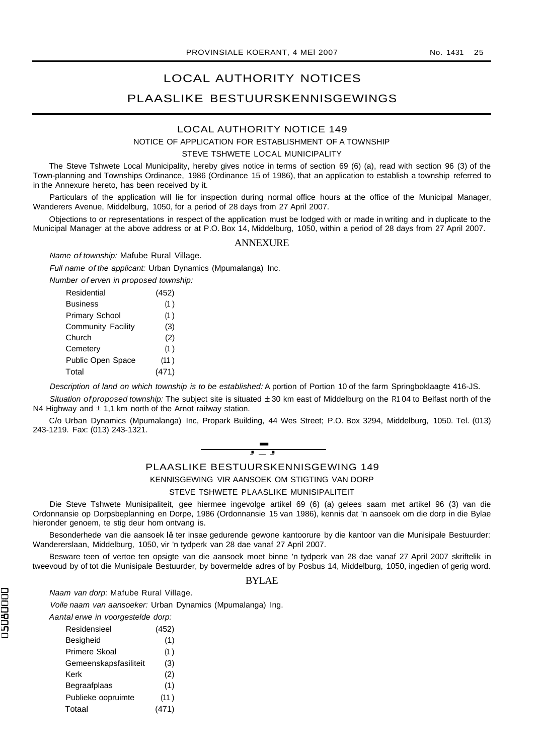## LOCAL AUTHORITY NOTICES PLAASLIKE BESTUURSKENNISGEWINGS

## LOCAL AUTHORITY NOTICE 149

NOTICE OF APPLICATION FOR ESTABLISHMENT OF A TOWNSHIP

#### STEVE TSHWETE LOCAL MUNICIPALITY

The Steve Tshwete Local Municipality, hereby gives notice in terms of section 69 (6) (a), read with section 96 (3) of the Town-planning and Townships Ordinance, 1986 (Ordinance 15 of 1986), that an application to establish a township referred to in the Annexure hereto, has been received by it.

Particulars of the application will lie for inspection during normal office hours at the office of the Municipal Manager, Wanderers Avenue, Middelburg, 1050, for a period of 28 days from 27 April 2007.

Objections to or representations in respect of the application must be lodged with or made in writing and in duplicate to the Municipal Manager at the above address or at P.O. Box 14, Middelburg, 1050, within a period of 28 days from 27 April 2007.

#### **ANNEXURE**

Name of township: Mafube Rural Village.

Full name of the applicant: Urban Dynamics (Mpumalanga) Inc.

| Number of erven in proposed township: |       |
|---------------------------------------|-------|
| Residential                           | (452) |
| <b>Business</b>                       | (1)   |
| <b>Primary School</b>                 | (1)   |
| <b>Community Facility</b>             | (3)   |
| Church                                | (2)   |
| Cemetery                              | (1)   |
| <b>Public Open Space</b>              | (11)  |
| Total                                 |       |

Description of land on which township is to be established: A portion of Portion 10 of the farm Springboklaagte 416-JS.

Situation of proposed township: The subject site is situated  $\pm 30$  km east of Middelburg on the R1 04 to Belfast north of the N4 Highway and  $\pm$  1,1 km north of the Arnot railway station.

C/o Urban Dynamics (Mpumalanga) Inc, Propark Building, 44 Wes Street; P.O. Box 3294, Middelburg, 1050. Tel. (013) 243-1219. Fax: (013) 243-1321.



## PLAASLIKE BESTUURSKENNISGEWING 149

KENNISGEWING VIR AANSOEK OM STIGTING VAN DORP

STEVE TSHWETE PLAASLIKE MUNISIPALITEIT

Die Steve Tshwete Munisipaliteit, gee hiermee ingevolge artikel 69 (6) (a) gelees saam met artikel 96 (3) van die Ordonnansie op Dorpsbeplanning en Dorpe, 1986 (Ordonnansie 15 van 1986), kennis dat 'n aansoek om die dorp in die Bylae hieronder genoem, te stig deur hom ontvang is.

Besonderhede van die aansoek lê ter insae gedurende gewone kantoorure by die kantoor van die Munisipale Bestuurder: Wandererslaan, Middelburg, 1050, vir 'n tydperk van 28 dae vanaf 27 April 2007.

Besware teen of vertoe ten opsigte van die aansoek moet binne 'n tydperk van 28 dae vanaf 27 April 2007 skriftelik in tweevoud by of tot die Munisipale Bestuurder, by bovermelde adres of by Posbus 14, Middelburg, 1050, ingedien of gerig word.

## BYLAE

Naam van dorp: Mafube Rural Village.

Volle naam van aansoeker: Urban Dynamics (Mpumalanga) Ing.

Aantal erwe in voorgestelde dorp:

| Residensieel          | (452) |
|-----------------------|-------|
| Besigheid             | (1)   |
| <b>Primere Skoal</b>  | (1)   |
| Gemeenskapsfasiliteit | (3)   |
| Kerk                  | (2)   |
| Begraafplaas          | (1)   |
| Publieke oopruimte    | (11)  |
| Totaal                | (471) |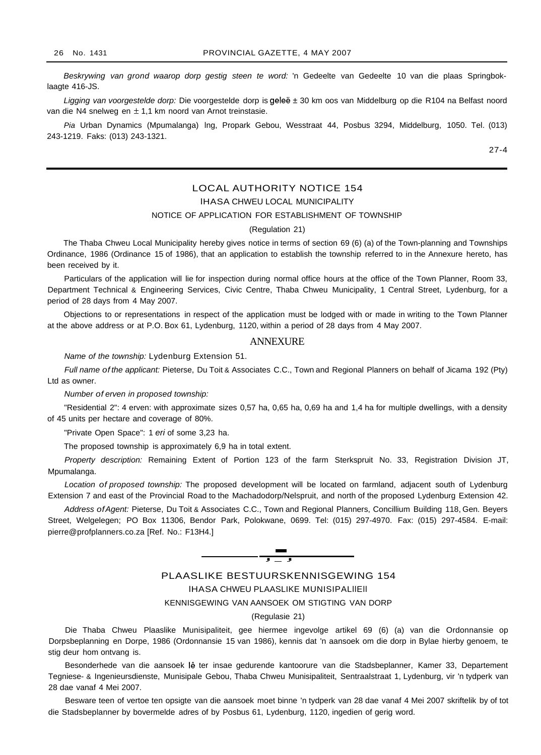Beskrywing van grond waarop dorp gestig steen te word: 'n Gedeelte van Gedeelte 10 van die plaas Springboklaagte 416-JS.

Ligging van voorgestelde dorp: Die voorgestelde dorp is geleë ± 30 km oos van Middelburg op die R104 na Belfast noord van die N4 snelweg en ± 1,1 km noord van Arnot treinstasie.

Pia Urban Dynamics (Mpumalanga) lng, Propark Gebou, Wesstraat 44, Posbus 3294, Middelburg, 1050. Tel. (013) 243-1219. Faks: (013) 243-1321.

27-4

## LOCAL AUTHORITY NOTICE 154

lHASA CHWEU LOCAL MUNICIPALITY

## NOTICE OF APPLICATION FOR ESTABLISHMENT OF TOWNSHIP

#### (Regulation 21)

The Thaba Chweu Local Municipality hereby gives notice in terms of section 69 (6) (a) of the Town-planning and Townships Ordinance, 1986 (Ordinance 15 of 1986), that an application to establish the township referred to in the Annexure hereto, has been received by it.

Particulars of the application will lie for inspection during normal office hours at the office of the Town Planner, Room 33, Department Technical & Engineering Services, Civic Centre, Thaba Chweu Municipality, 1 Central Street, Lydenburg, for a period of 28 days from 4 May 2007.

Objections to or representations in respect of the application must be lodged with or made in writing to the Town Planner at the above address or at P.O. Box 61, Lydenburg, 1120, within a period of 28 days from 4 May 2007.

#### ANNEXURE

Name of the township: Lydenburg Extension 51.

Full name of the applicant: Pieterse, Du Toit & Associates C.C., Town and Regional Planners on behalf of Jicama 192 (Pty) Ltd as owner.

Number of erven in proposed township:

"Residential 2": 4 erven: with approximate sizes 0,57 ha, 0,65 ha, 0,69 ha and 1,4 ha for multiple dwellings, with a density of 45 units per hectare and coverage of 80%.

"Private Open Space": 1 eri of some 3,23 ha.

The proposed township is approximately 6,9 ha in total extent.

Property description: Remaining Extent of Portion 123 of the farm Sterkspruit No. 33, Registration Division JT, Mpumalanga.

Location of proposed township: The proposed development will be located on farmland, adjacent south of Lydenburg Extension 7 and east of the Provincial Road to the Machadodorp/Nelspruit, and north of the proposed Lydenburg Extension 42.

Address of Agent: Pieterse, Du Toit & Associates C.C., Town and Regional Planners, Concillium Building 118, Gen. Beyers Street, Welgelegen; PO Box 11306, Bendor Park, Polokwane, 0699. Tel: (015) 297-4970. Fax: (015) 297-4584. E-mail: pierre@profplanners.co.za [Ref. No.: F13H4.]



(Regulasie 21)

Die Thaba Chweu Plaaslike Munisipaliteit, gee hiermee ingevolge artikel 69 (6) (a) van die Ordonnansie op Dorpsbeplanning en Dorpe, 1986 (Ordonnansie 15 van 1986), kennis dat 'n aansoek om die dorp in Bylae hierby genoem, te stig deur hom ontvang is.

Besonderhede van die aansoek lê ter insae gedurende kantoorure van die Stadsbeplanner, Kamer 33, Departement Tegniese- & Ingenieursdienste, Munisipale Gebou, Thaba Chweu Munisipaliteit, Sentraalstraat 1, Lydenburg, vir 'n tydperk van 28 dae vanaf 4 Mei 2007.

Besware teen of vertoe ten opsigte van die aansoek moet binne 'n tydperk van 28 dae vanaf 4 Mei 2007 skriftelik by of tot die Stadsbeplanner by bovermelde adres of by Posbus 61, Lydenburg, 1120, ingedien of gerig word.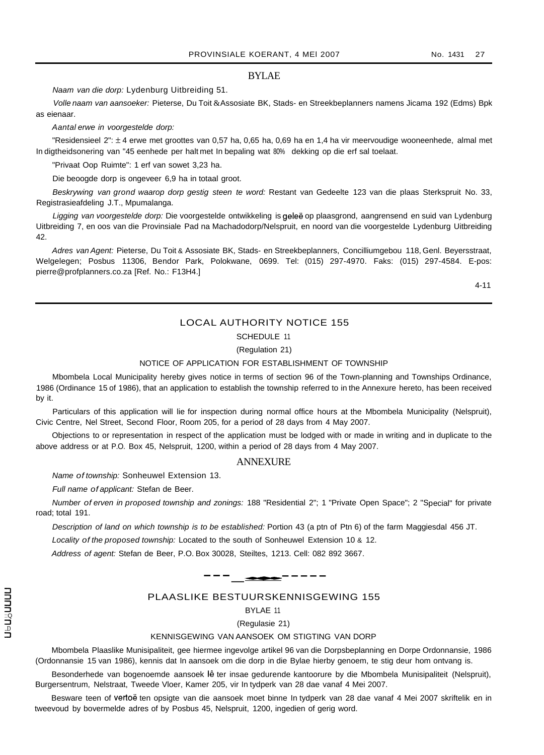## BYLAE

Naam van die dorp: Lydenburg Uitbreiding 51.

Volle naam van aansoeker: Pieterse, Du Toit &Assosiate BK, Stads- en Streekbeplanners namens Jicama 192 (Edms) Bpk as eienaar.

Aantal erwe in voorgestelde dorp:

"Residensieel 2": ± 4 erwe met groottes van 0,57 ha, 0,65 ha, 0,69 ha en 1,4 ha vir meervoudige wooneenhede, almal met In digtheidsonering van "45 eenhede per halt met In bepaling wat 80% dekking op die erf sal toelaat.

"Privaat Oop Ruimte": 1 erf van sowet 3,23 ha.

Die beoogde dorp is ongeveer 6,9 ha in totaal groot.

Beskrywing van grond waarop dorp gestig steen te word: Restant van Gedeelte 123 van die plaas Sterkspruit No. 33, Registrasieafdeling J.T., Mpumalanga.

Ligging van voorgestelde dorp: Die voorgestelde ontwikkeling is geleë op plaasgrond, aangrensend en suid van Lydenburg Uitbreiding 7, en oos van die Provinsiale Pad na Machadodorp/Nelspruit, en noord van die voorgestelde Lydenburg Uitbreiding 42.

Adres van Agent: Pieterse, Du Toit & Assosiate BK, Stads- en Streekbeplanners, Concilliumgebou 118, Genl. Beyersstraat, Welgelegen; Posbus 11306, Bendor Park, Polokwane, 0699. Tel: (015) 297-4970. Faks: (015) 297-4584. E-pos: pierre@profplanners.co.za [Ref. No.: F13H4.]

4-11

## LOCAL AUTHORITY NOTICE 155

#### SCHEDULE 11

## (Regulation 21)

NOTICE OF APPLICATION FOR ESTABLISHMENT OF TOWNSHIP

Mbombela Local Municipality hereby gives notice in terms of section 96 of the Town-planning and Townships Ordinance, 1986 (Ordinance 15 of 1986), that an application to establish the township referred to in the Annexure hereto, has been received by it.

Particulars of this application will lie for inspection during normal office hours at the Mbombela Municipality (Nelspruit), Civic Centre, Nel Street, Second Floor, Room 205, for a period of 28 days from 4 May 2007.

Objections to or representation in respect of the application must be lodged with or made in writing and in duplicate to the above address or at P.O. Box 45, Nelspruit, 1200, within a period of 28 days from 4 May 2007.

#### ANNEXURE

Name of township: Sonheuwel Extension 13.

Full name of applicant: Stefan de Beer.

Number of erven in proposed township and zonings: 188 "Residential 2"; 1 "Private Open Space"; 2 "Special" for private road; total 191.

Description of land on which township is to be established: Portion 43 (a ptn of Ptn 6) of the farm Maggiesdal 456 JT.

Locality of the proposed township: Located to the south of Sonheuwel Extension 10 & 12.

Address of agent: Stefan de Beer, P.O. Box 30028, Steiltes, 1213. Cell: 082 892 3667.



## PLAASLIKE BESTUURSKENNISGEWING 155

BYLAE 11

(Regulasie 21)

#### KENNISGEWING VAN AANSOEK OM STIGTING VAN DORP

Mbombela Plaaslike Munisipaliteit, gee hiermee ingevolge artikel 96 van die Dorpsbeplanning en Dorpe Ordonnansie, 1986 (Ordonnansie 15 van 1986), kennis dat In aansoek om die dorp in die Bylae hierby genoem, te stig deur hom ontvang is.

Besonderhede van bogenoemde aansoek lê ter insae gedurende kantoorure by die Mbombela Munisipaliteit (Nelspruit), Burgersentrum, Nelstraat, Tweede Vloer, Kamer 205, vir In tydperk van 28 dae vanaf 4 Mei 2007.

Besware teen of vertoë ten opsigte van die aansoek moet binne In tydperk van 28 dae vanaf 4 Mei 2007 skriftelik en in tweevoud by bovermelde adres of by Posbus 45, Nelspruit, 1200, ingedien of gerig word.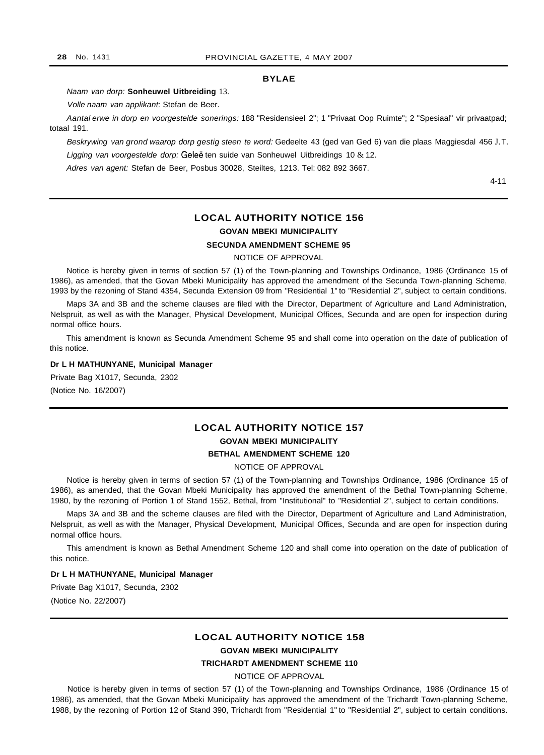### **BYLAE**

Naam van dorp: **Sonheuwel Uitbreiding** 13.

Volle naam van applikant: Stefan de Beer.

Aantal erwe in dorp en voorgestelde sonerings: 188 "Residensieel 2"; 1 "Privaat Oop Ruimte"; 2 "Spesiaal" vir privaatpad; totaal 191.

Beskrywing van grond waarop dorp gestig steen te word: Gedeelte 43 (ged van Ged 6) van die plaas Maggiesdal 456 J.T. Ligging van voorgestelde dorp: Geleë ten suide van Sonheuwel Uitbreidings 10 & 12.

Adres van agent: Stefan de Beer, Posbus 30028, Steiltes, 1213. Tel: 082 892 3667.

4-11

## **LOCAL AUTHORITY NOTICE 156 GOVAN MBEKI MUNICIPALITY SECUNDA AMENDMENT SCHEME 95**

NOTICE OF APPROVAL

Notice is hereby given in terms of section 57 (1) of the Town-planning and Townships Ordinance, 1986 (Ordinance 15 of 1986), as amended, that the Govan Mbeki Municipality has approved the amendment of the Secunda Town-planning Scheme, 1993 by the rezoning of Stand 4354, Secunda Extension 09 from "Residential 1" to "Residential 2", subject to certain conditions.

Maps 3A and 3B and the scheme clauses are filed with the Director, Department of Agriculture and Land Administration, Nelspruit, as well as with the Manager, Physical Development, Municipal Offices, Secunda and are open for inspection during normal office hours.

This amendment is known as Secunda Amendment Scheme 95 and shall come into operation on the date of publication of this notice.

#### **Dr L H MATHUNYANE, Municipal Manager**

Private Bag X1017, Secunda, 2302

(Notice No. 16/2007)

## **LOCAL AUTHORITY NOTICE 157 GOVAN MBEKI MUNICIPALITY**

#### **BETHAL AMENDMENT SCHEME 120**

NOTICE OF APPROVAL

Notice is hereby given in terms of section 57 (1) of the Town-planning and Townships Ordinance, 1986 (Ordinance 15 of 1986), as amended, that the Govan Mbeki Municipality has approved the amendment of the Bethal Town-planning Scheme, 1980, by the rezoning of Portion 1 of Stand 1552, Bethal, from "Institutional" to "Residential 2", subject to certain conditions.

Maps 3A and 3B and the scheme clauses are filed with the Director, Department of Agriculture and Land Administration, Nelspruit, as well as with the Manager, Physical Development, Municipal Offices, Secunda and are open for inspection during normal office hours.

This amendment is known as Bethal Amendment Scheme 120 and shall come into operation on the date of publication of this notice.

#### **Dr L H MATHUNYANE, Municipal Manager**

Private Bag X1017, Secunda, 2302 (Notice No. 22/2007)

## **LOCAL AUTHORITY NOTICE 158**

**GOVAN MBEKI MUNICIPALITY**

## **TRICHARDT AMENDMENT SCHEME 110**

NOTICE OF APPROVAL

Notice is hereby given in terms of section 57 (1) of the Town-planning and Townships Ordinance, 1986 (Ordinance 15 of 1986), as amended, that the Govan Mbeki Municipality has approved the amendment of the Trichardt Town-planning Scheme, 1988, by the rezoning of Portion 12 of Stand 390, Trichardt from "Residential 1" to "Residential 2", subject to certain conditions.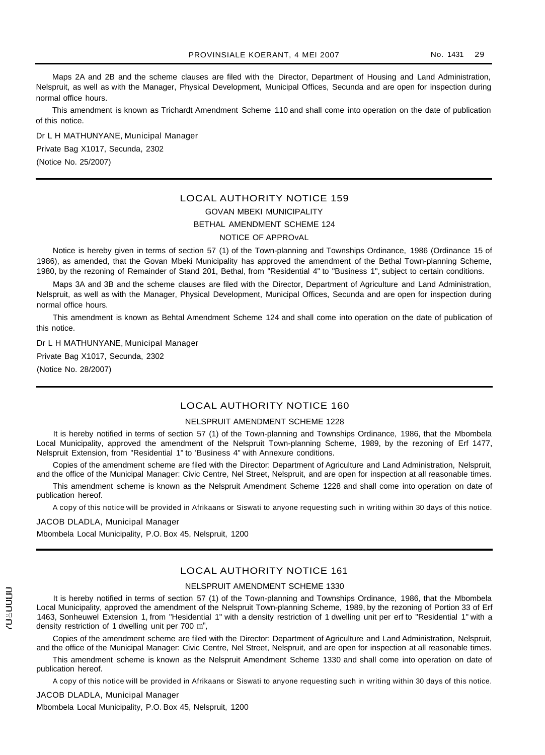Maps 2A and 2B and the scheme clauses are filed with the Director, Department of Housing and Land Administration, Nelspruit, as well as with the Manager, Physical Development, Municipal Offices, Secunda and are open for inspection during normal office hours.

This amendment is known as Trichardt Amendment Scheme 110 and shall come into operation on the date of publication of this notice.

Dr L H MATHUNYANE, Municipal Manager Private Bag X1017, Secunda, 2302 (Notice No. 25/2007)

## LOCAL AUTHORITY NOTICE 159 GOVAN MBEKI MUNICIPALITY BETHAL AMENDMENT SCHEME 124 NOTICE OF APPROvAL

Notice is hereby given in terms of section 57 (1) of the Town-planning and Townships Ordinance, 1986 (Ordinance 15 of 1986), as amended, that the Govan Mbeki Municipality has approved the amendment of the Bethal Town-planning Scheme, 1980, by the rezoning of Remainder of Stand 201, Bethal, from "Residential 4" to "Business 1", subject to certain conditions.

Maps 3A and 3B and the scheme clauses are filed with the Director, Department of Agriculture and Land Administration, Nelspruit, as well as with the Manager, Physical Development, Municipal Offices, Secunda and are open for inspection during normal office hours.

This amendment is known as Behtal Amendment Scheme 124 and shall come into operation on the date of publication of this notice.

Dr L H MATHUNYANE, Municipal Manager Private Bag X1017, Secunda, 2302 (Notice No. 28/2007)

## LOCAL AUTHORITY NOTICE 160

#### NELSPRUIT AMENDMENT SCHEME 1228

It is hereby notified in terms of section 57 (1) of the Town-planning and Townships Ordinance, 1986, that the Mbombela Local Municipality, approved the amendment of the Nelspruit Town-planning Scheme, 1989, by the rezoning of Erf 1477, Nelspruit Extension, from "Residential 1" to 'Business 4" with Annexure conditions.

Copies of the amendment scheme are filed with the Director: Department of Agriculture and Land Administration, Nelspruit, and the office of the Municipal Manager: Civic Centre, Nel Street, Nelspruit, and are open for inspection at all reasonable times.

This amendment scheme is known as the Nelspruit Amendment Scheme 1228 and shall come into operation on date of publication hereof.

A copy of this notice will be provided in Afrikaans or Siswati to anyone requesting such in writing within 30 days of this notice.

JACOB DLADLA, Municipal Manager

Mbombela Local Municipality, P.O. Box 45, Nelspruit, 1200

## LOCAL AUTHORITY NOTICE 161

#### NELSPRUIT AMENDMENT SCHEME 1330

It is hereby notified in terms of section 57 (1) of the Town-planning and Townships Ordinance, 1986, that the Mbombela Local Municipality, approved the amendment of the Nelspruit Town-planning Scheme, 1989, by the rezoning of Portion 33 of Erf 1463, Sonheuwel Extension 1, from "Hesidential 1" with a density restriction of 1 dwelling unit per erf to "Residential 1" with a density restriction of 1 dwelling unit per 700 rn",

Copies of the amendment scheme are filed with the Director: Department of Agriculture and Land Administration, Nelspruit, and the office of the Municipal Manager: Civic Centre, Nel Street, Nelspruit, and are open for inspection at all reasonable times.

This amendment scheme is known as the Nelspruit Amendment Scheme 1330 and shall come into operation on date of publication hereof.

A copy of this notice will be provided in Afrikaans or Siswati to anyone requesting such in writing within 30 days of this notice.

#### JACOB DLADLA, Municipal Manager

Mbombela Local Municipality, P.O. Box 45, Nelspruit, 1200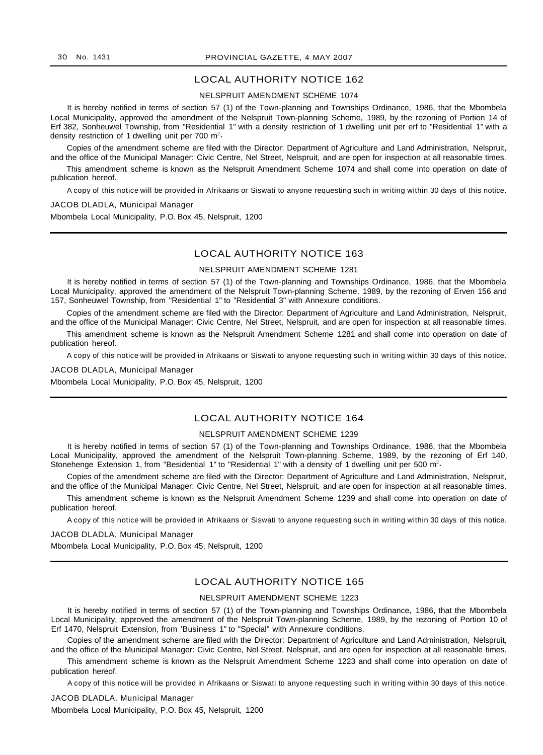## LOCAL AUTHORITY NOTICE 162

#### NELSPRUIT AMENDMENT SCHEME 1074

It is hereby notified in terms of section 57 (1) of the Town-planning and Townships Ordinance, 1986, that the Mbombela Local Municipality, approved the amendment of the Nelspruit Town-planning Scheme, 1989, by the rezoning of Portion 14 of Erf 382, Sonheuwel Township, from "Residential 1" with a density restriction of 1 dwelling unit per erf to "Residential 1" with a density restriction of 1 dwelling unit per 700  $m^2$ .

Copies of the amendment scheme are filed with the Director: Department of Agriculture and Land Administration, Nelspruit, and the office of the Municipal Manager: Civic Centre, Nel Street, Nelspruit, and are open for inspection at all reasonable times.

This amendment scheme is known as the Nelspruit Amendment Scheme 1074 and shall come into operation on date of publication hereof.

A copy of this notice will be provided in Afrikaans or Siswati to anyone requesting such in writing within 30 days of this notice.

#### JACOB DLADLA, Municipal Manager

Mbombela Local Municipality, P.O. Box 45, Nelspruit, 1200

#### LOCAL AUTHORITY NOTICE 163

#### NELSPRUIT AMENDMENT SCHEME 1281

It is hereby notified in terms of section 57 (1) of the Town-planning and Townships Ordinance, 1986, that the Mbombela Local Municipality, approved the amendment of the Nelspruit Town-planning Scheme, 1989, by the rezoning of Erven 156 and 157, Sonheuwel Township, from "Residential 1" to "Residential 3" with Annexure conditions.

Copies of the amendment scheme are filed with the Director: Department of Agriculture and Land Administration, Nelspruit, and the office of the Municipal Manager: Civic Centre, Nel Street, Nelspruit, and are open for inspection at all reasonable times.

This amendment scheme is known as the Nelspruit Amendment Scheme 1281 and shall come into operation on date of publication hereof.

A copy of this notice will be provided in Afrikaans or Siswati to anyone requesting such in writing within 30 days of this notice.

#### JACOB DLADLA, Municipal Manager

Mbombela Local Municipality, P.O. Box 45, Nelspruit, 1200

## LOCAL AUTHORITY NOTICE 164

#### NELSPRUIT AMENDMENT SCHEME 1239

It is hereby notified in terms of section 57 (1) of the Town-planning and Townships Ordinance, 1986, that the Mbombela Local Municipality, approved the amendment of the Nelspruit Town-planning Scheme, 1989, by the rezoning of Erf 140, Stonehenge Extension 1, from "Besidential 1" to "Residential 1" with a density of 1 dwelling unit per 500 m<sup>2</sup>

Copies of the amendment scheme are filed with the Director: Department of Agriculture and Land Administration, Nelspruit, and the office of the Municipal Manager: Civic Centre, Nel Street, Nelspruit, and are open for inspection at all reasonable times.

This amendment scheme is known as the Nelspruit Amendment Scheme 1239 and shall come into operation on date of publication hereof.

A copy of this notice will be provided in Afrikaans or Siswati to anyone requesting such in writing within 30 days of this notice.

JACOB DLADLA, Municipal Manager

Mbombela Local Municipality, P.O. Box 45, Nelspruit, 1200

## LOCAL AUTHORITY NOTICE 165

#### NELSPRUIT AMENDMENT SCHEME 1223

It is hereby notified in terms of section 57 (1) of the Town-planning and Townships Ordinance, 1986, that the Mbombela Local Municipality, approved the amendment of the Nelspruit Town-planning Scheme, 1989, by the rezoning of Portion 10 of Erf 1470, Nelspruit Extension, from 'Business 1" to "Special" with Annexure conditions.

Copies of the amendment scheme are filed with the Director: Department of Agriculture and Land Administration, Nelspruit, and the office of the Municipal Manager: Civic Centre, Nel Street, Nelspruit, and are open for inspection at all reasonable times.

This amendment scheme is known as the Nelspruit Amendment Scheme 1223 and shall come into operation on date of publication hereof.

A copy of this notice will be provided in Afrikaans or Siswati to anyone requesting such in writing within 30 days of this notice.

JACOB DLADLA, Municipal Manager Mbombela Local Municipality, P.O. Box 45, Nelspruit, 1200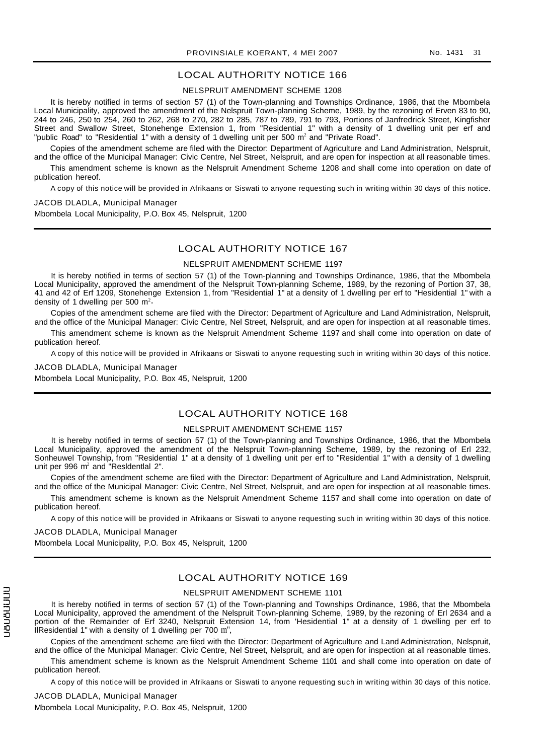## LOCAL AUTHORITY NOTICE 166

#### NELSPRUIT AMENDMENT SCHEME 1208

It is hereby notified in terms of section 57 (1) of the Town-planning and Townships Ordinance, 1986, that the Mbombela Local Municipality, approved the amendment of the Nelspruit Town-planning Scheme, 1989, by the rezoning of Erven 83 to 90, 244 to 246, 250 to 254, 260 to 262, 268 to 270, 282 to 285, 787 to 789, 791 to 793, Portions of Janfredrick Street, Kingfisher Street and Swallow Street, Stonehenge Extension 1, from "Residential 1" with a density of 1 dwelling unit per erf and "public Road" to "Residential 1" with a density of 1 dwelling unit per 500  $m<sup>2</sup>$  and "Private Road".

Copies of the amendment scheme are filed with the Director: Department of Agriculture and Land Administration, Nelspruit, and the office of the Municipal Manager: Civic Centre, Nel Street, Nelspruit, and are open for inspection at all reasonable times.

This amendment scheme is known as the Nelspruit Amendment Scheme 1208 and shall come into operation on date of publication hereof.

A copy of this notice will be provided in Afrikaans or Siswati to anyone requesting such in writing within 30 days of this notice.

JACOB DLADLA, Municipal Manager Mbombela Local Municipality, P.O. Box 45, Nelspruit, 1200

## LOCAL AUTHORITY NOTICE 167

#### NELSPRUIT AMENDMENT SCHEME 1197

It is hereby notified in terms of section 57 (1) of the Town-planning and Townships Ordinance, 1986, that the Mbombela Local Municipality, approved the amendment of the Nelspruit Town-planning Scheme, 1989, by the rezoning of Portion 37, 38, 41 and 42 of Erf 1209, Stonehenge Extension 1, from "Residential 1" at a density of 1 dwelling per erf to "Hesidential 1" with a density of 1 dwelling per 500 m<sup>2</sup>.

Copies of the amendment scheme are filed with the Director: Department of Agriculture and Land Administration, Nelspruit, and the office of the Municipal Manager: Civic Centre, Nel Street, Nelspruit, and are open for inspection at all reasonable times.

This amendment scheme is known as the Nelspruit Amendment Scheme 1197 and shall come into operation on date of publication hereof.

A copy of this notice will be provided in Afrikaans or Siswati to anyone requesting such in writing within 30 days of this notice.

JACOB DLADLA, Municipal Manager

Mbombela Local Municipality, P.O. Box 45, Nelspruit, 1200

## LOCAL AUTHORITY NOTICE 168

#### NELSPRUIT AMENDMENT SCHEME 1157

It is hereby notified in terms of section 57 (1) of the Town-planning and Townships Ordinance, 1986, that the Mbombela Local Municipality, approved the amendment of the Nelspruit Town-planning Scheme, 1989, by the rezoning of Erl 232, Sonheuwel Township, from "Residential 1" at a density of 1 dwelling unit per erf to "Residential 1" with a density of 1 dwelling unit per 996 m<sup>2</sup> and "Resldentlal 2".

Copies of the amendment scheme are filed with the Director: Department of Agriculture and Land Administration, Nelspruit, and the office of the Municipal Manager: Civic Centre, Nel Street, Nelspruit, and are open for inspection at all reasonable times.

This amendment scheme is known as the Nelspruit Amendment Scheme 1157 and shall come into operation on date of publication hereof.

A copy of this notice will be provided in Afrikaans or Siswati to anyone requesting such in writing within 30 days of this notice.

#### JACOB DLADLA, Municipal Manager

Mbombela Local Municipality, P.O. Box 45, Nelspruit, 1200

## LOCAL AUTHORITY NOTICE 169

#### NELSPRUIT AMENDMENT SCHEME 1101

It is hereby notified in terms of section 57 (1) of the Town-planning and Townships Ordinance, 1986, that the Mbombela Local Municipality, approved the amendment of the Nelspruit Town-planning Scheme, 1989, by the rezoning of Erl 2634 and a portion of the Remainder of Erf 3240, Nelspruit Extension 14, from 'Hesidential 1" at a density of 1 dwelling per erf to IlResidential 1" with a density of 1 dwelling per 700 rn",

Copies of the amendment scheme are filed with the Director: Department of Agriculture and Land Administration, Nelspruit, and the office of the Municipal Manager: Civic Centre, Nel Street, Nelspruit, and are open for inspection at all reasonable times.

This amendment scheme is known as the Nelspruit Amendment Scheme 1101 and shall come into operation on date of publication hereof.

A copy of this notice will be provided in Afrikaans or Siswati to anyone requesting such in writing within 30 days of this notice.

JACOB DLADLA, Municipal Manager Mbombela Local Municipality, P. O. Box 45, Nelspruit, 1200